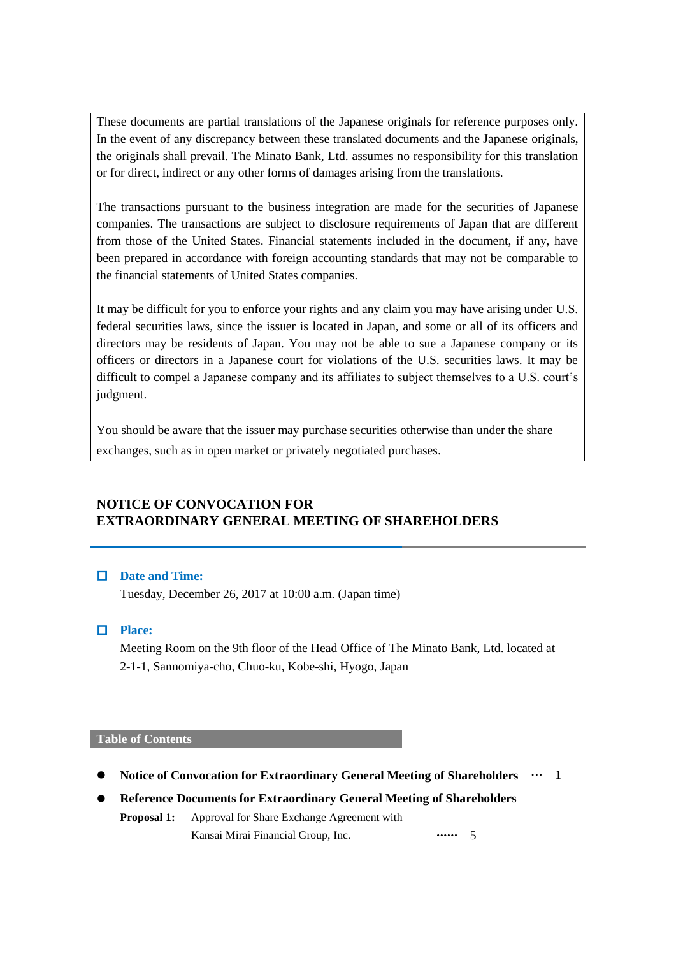These documents are partial translations of the Japanese originals for reference purposes only. In the event of any discrepancy between these translated documents and the Japanese originals, the originals shall prevail. The Minato Bank, Ltd. assumes no responsibility for this translation or for direct, indirect or any other forms of damages arising from the translations.

The transactions pursuant to the business integration are made for the securities of Japanese companies. The transactions are subject to disclosure requirements of Japan that are different from those of the United States. Financial statements included in the document, if any, have been prepared in accordance with foreign accounting standards that may not be comparable to the financial statements of United States companies.

It may be difficult for you to enforce your rights and any claim you may have arising under U.S. federal securities laws, since the issuer is located in Japan, and some or all of its officers and directors may be residents of Japan. You may not be able to sue a Japanese company or its officers or directors in a Japanese court for violations of the U.S. securities laws. It may be difficult to compel a Japanese company and its affiliates to subject themselves to a U.S. court's judgment.

You should be aware that the issuer may purchase securities otherwise than under the share exchanges, such as in open market or privately negotiated purchases.

# **NOTICE OF CONVOCATION FOR EXTRAORDINARY GENERAL MEETING OF SHAREHOLDERS**

# **Date and Time:**

Tuesday, December 26, 2017 at 10:00 a.m. (Japan time)

**Place:**

Meeting Room on the 9th floor of the Head Office of The Minato Bank, Ltd. located at 2-1-1, Sannomiya-cho, Chuo-ku, Kobe-shi, Hyogo, Japan

## **Table of Contents**

- **•** Notice of Convocation for Extraordinary General Meeting of Shareholders  $\cdots$  1
- **Reference Documents for Extraordinary General Meeting of Shareholders**

**Proposal 1:** Approval for Share Exchange Agreement with Kansai Mirai Financial Group, Inc. **••••••** 5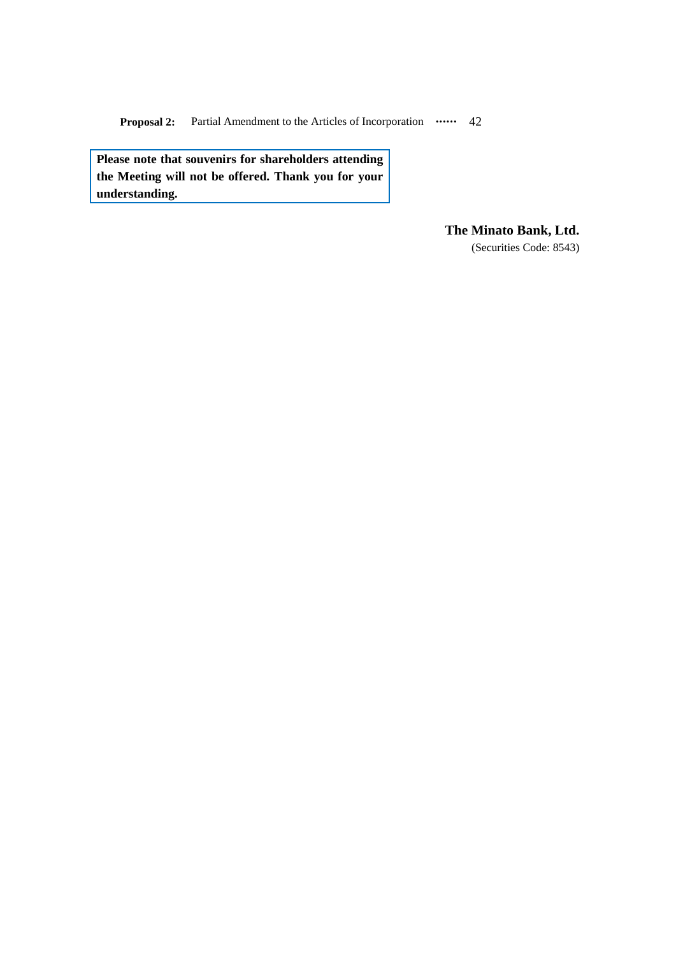**Proposal 2:** Partial Amendment to the Articles of Incorporation  $\cdots$  42

**Please note that souvenirs for shareholders attending the Meeting will not be offered. Thank you for your understanding.**

**The Minato Bank, Ltd.**

(Securities Code: 8543)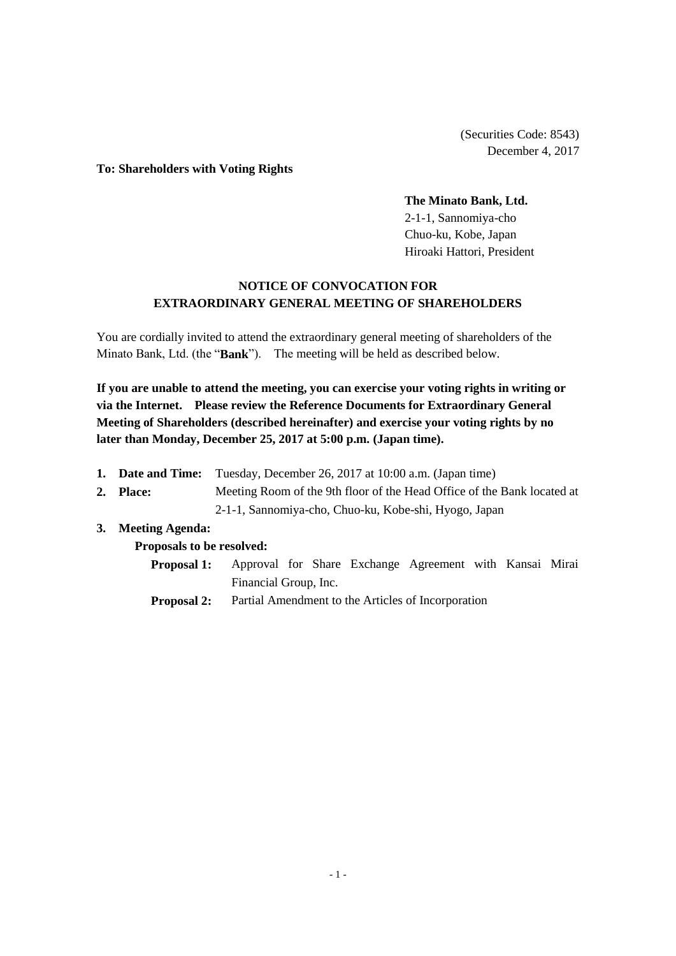(Securities Code: 8543) December 4, 2017

#### **To: Shareholders with Voting Rights**

#### **The Minato Bank, Ltd.**

2-1-1, Sannomiya-cho Chuo-ku, Kobe, Japan Hiroaki Hattori, President

# **NOTICE OF CONVOCATION FOR EXTRAORDINARY GENERAL MEETING OF SHAREHOLDERS**

You are cordially invited to attend the extraordinary general meeting of shareholders of the Minato Bank, Ltd. (the "**Bank**"). The meeting will be held as described below.

**If you are unable to attend the meeting, you can exercise your voting rights in writing or via the Internet. Please review the Reference Documents for Extraordinary General Meeting of Shareholders (described hereinafter) and exercise your voting rights by no later than Monday, December 25, 2017 at 5:00 p.m. (Japan time).**

- **1. Date and Time:** Tuesday, December 26, 2017 at 10:00 a.m. (Japan time)
- **2. Place:** Meeting Room of the 9th floor of the Head Office of the Bank located at 2-1-1, Sannomiya-cho, Chuo-ku, Kobe-shi, Hyogo, Japan

# **3. Meeting Agenda:**

**Proposals to be resolved:**

| <b>Proposal 1:</b> Approval for Share Exchange Agreement with Kansai Mirai |                       |  |  |  |  |
|----------------------------------------------------------------------------|-----------------------|--|--|--|--|
|                                                                            | Financial Group, Inc. |  |  |  |  |

**Proposal 2:** Partial Amendment to the Articles of Incorporation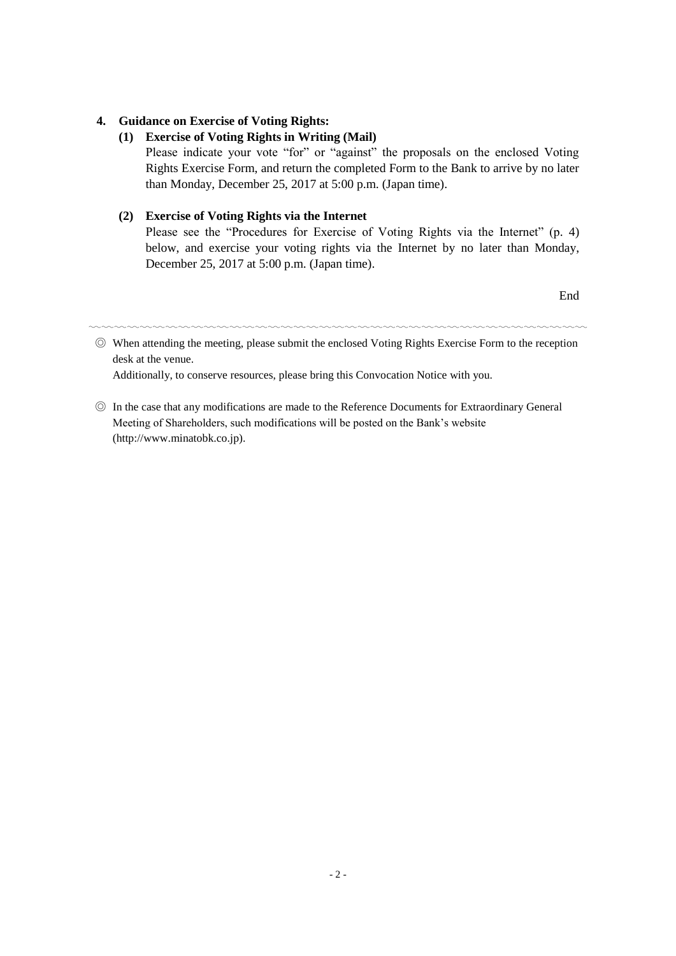# **4. Guidance on Exercise of Voting Rights:**

# **(1) Exercise of Voting Rights in Writing (Mail)**

Please indicate your vote "for" or "against" the proposals on the enclosed Voting Rights Exercise Form, and return the completed Form to the Bank to arrive by no later than Monday, December 25, 2017 at 5:00 p.m. (Japan time).

# **(2) Exercise of Voting Rights via the Internet**

Please see the "Procedures for Exercise of Voting Rights via the Internet" (p. 4) below, and exercise your voting rights via the Internet by no later than Monday, December 25, 2017 at 5:00 p.m. (Japan time).

End

〰〰〰〰〰〰〰〰〰〰〰〰〰〰〰〰〰〰〰〰〰〰〰〰〰〰〰〰〰〰〰〰〰〰〰〰〰〰〰

◎ When attending the meeting, please submit the enclosed Voting Rights Exercise Form to the reception desk at the venue.

Additionally, to conserve resources, please bring this Convocation Notice with you.

◎ In the case that any modifications are made to the Reference Documents for Extraordinary General Meeting of Shareholders, such modifications will be posted on the Bank's website (http://www.minatobk.co.jp).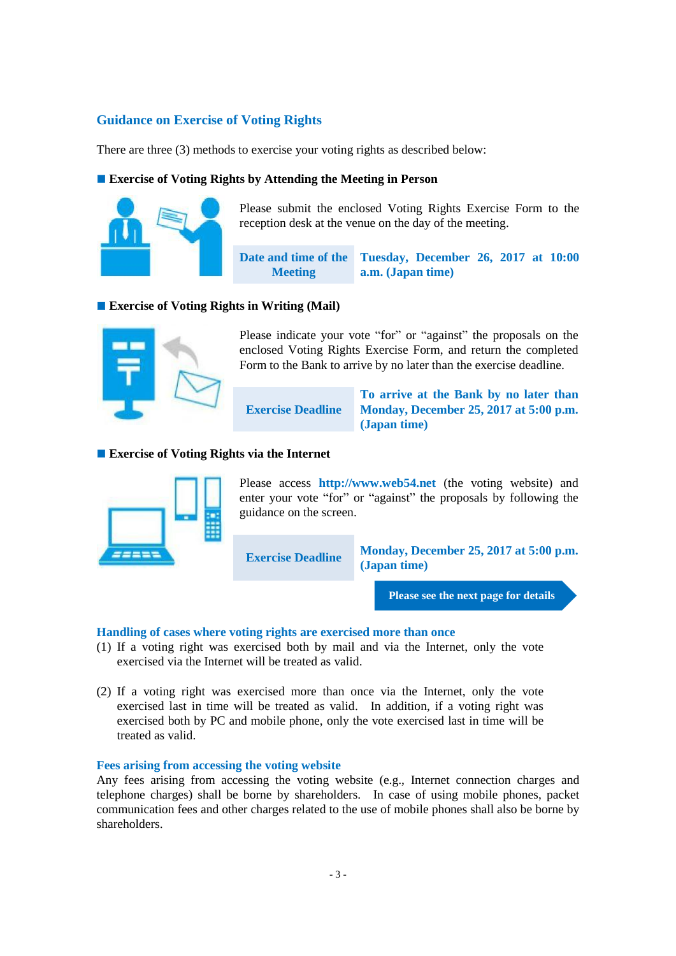# **Guidance on Exercise of Voting Rights**

There are three (3) methods to exercise your voting rights as described below:

## **Exercise of Voting Rights by Attending the Meeting in Person**



Please submit the enclosed Voting Rights Exercise Form to the reception desk at the venue on the day of the meeting.

**Date and time of the Meeting Tuesday, December 26, 2017 at 10:00 a.m. (Japan time)**

## **Exercise of Voting Rights in Writing (Mail)**



Please indicate your vote "for" or "against" the proposals on the enclosed Voting Rights Exercise Form, and return the completed Form to the Bank to arrive by no later than the exercise deadline.

**Exercise Deadline**

**To arrive at the Bank by no later than Monday, December 25, 2017 at 5:00 p.m. (Japan time)**

# **Exercise of Voting Rights via the Internet**



Please access **http://www.web54.net** (the voting website) and enter your vote "for" or "against" the proposals by following the guidance on the screen.

**Exercise Deadline Monday, December 25, 2017 at 5:00 p.m. (Japan time)**

**Please see the next page for details**

## **Handling of cases where voting rights are exercised more than once**

- (1) If a voting right was exercised both by mail and via the Internet, only the vote exercised via the Internet will be treated as valid.
- (2) If a voting right was exercised more than once via the Internet, only the vote exercised last in time will be treated as valid. In addition, if a voting right was exercised both by PC and mobile phone, only the vote exercised last in time will be treated as valid.

## **Fees arising from accessing the voting website**

Any fees arising from accessing the voting website (e.g., Internet connection charges and telephone charges) shall be borne by shareholders. In case of using mobile phones, packet communication fees and other charges related to the use of mobile phones shall also be borne by shareholders.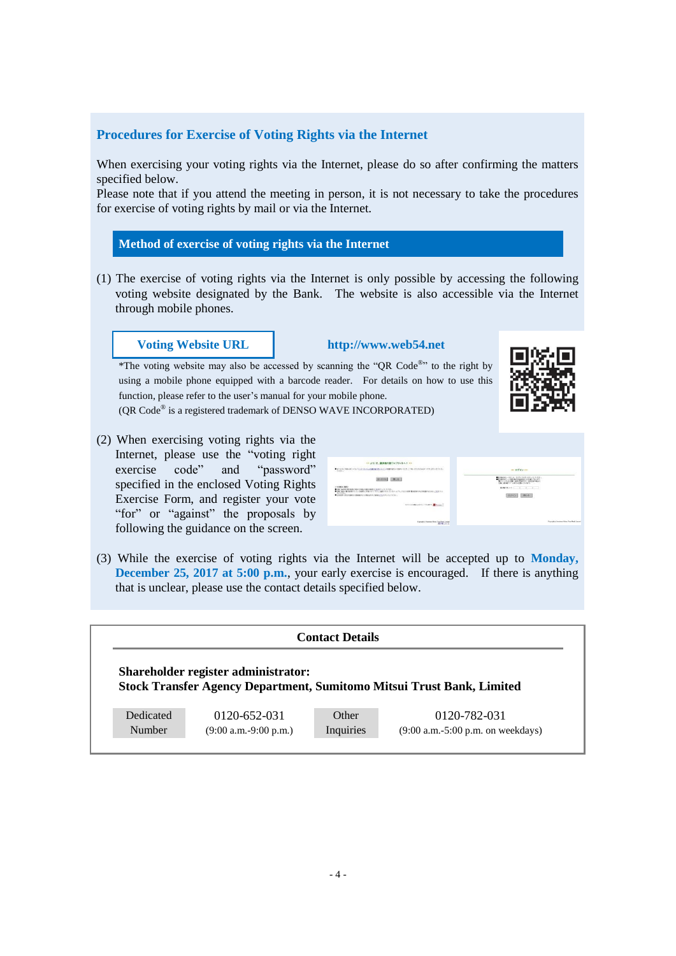# **Procedures for Exercise of Voting Rights via the Internet**

When exercising your voting rights via the Internet, please do so after confirming the matters specified below.

Please note that if you attend the meeting in person, it is not necessary to take the procedures for exercise of voting rights by mail or via the Internet.

#### **Method of exercise of voting rights via the Internet**

(1) The exercise of voting rights via the Internet is only possible by accessing the following voting website designated by the Bank. The website is also accessible via the Internet through mobile phones.

#### **Voting Website URL http://www.web54.net**

\*The voting website may also be accessed by scanning the "QR Code<sup>®</sup>" to the right by using a mobile phone equipped with a barcode reader. For details on how to use this function, please refer to the user's manual for your mobile phone.

(QR Code® is a registered trademark of DENSO WAVE INCORPORATED)

(2) When exercising voting rights via the Internet, please use the "voting right exercise code" and "password" specified in the enclosed Voting Rights Exercise Form, and register your vote "for" or "against" the proposals by following the guidance on the screen.

| ··· ようこそ、議決権行使ウェブサイトへ! …<br>● NY:0000WORD>TOL 「GSD-RULEZAMMADELISUS」を用意解析を取り組みられたことがあるためのは日本アドロセルをクレス<br>THERE.<br>おいる<br>調べすすむ<br>CRANGERO<br>● 特徴の基準制作用で解除されるのはない情報を確かすことをアルタンができる。<br>● 研究は基因の集合情報日本では、本研修との場合ので、すでにご提供したものでしょう。このに、うなくなる場合を確定するのは、そのこともに、これをクリン<br>N.Y. DALL<br>● HEEF + W.S.F.BASONBERG/ORIGING/WHICH/ENDISON/DEB ↓<br><b>CONTRACTOR CONTRACTOR COMMUNICATIONS</b><br><b>Express Contract Street Four East Leased</b> | <b>His D2454 444</b><br>●国内福行統」→1930年、2074年2月27日での2079年について、<br>『西内国内市 →107世内福行総国内政立に工場』であります。<br>『国内二体の国内ニュナの公開』、「おります」<br><b>RIGHTS-C. J. J. J.</b><br>間じる<br>Concepts in Numbers Moss Cruz Bank Lincoln |
|--------------------------------------------------------------------------------------------------------------------------------------------------------------------------------------------------------------------------------------------------------------------------------------------------------------------------------------------------------------------------------------------------------------------------------------------|------------------------------------------------------------------------------------------------------------------------------------------------------------------------------------------------------------|
|--------------------------------------------------------------------------------------------------------------------------------------------------------------------------------------------------------------------------------------------------------------------------------------------------------------------------------------------------------------------------------------------------------------------------------------------|------------------------------------------------------------------------------------------------------------------------------------------------------------------------------------------------------------|

(3) While the exercise of voting rights via the Internet will be accepted up to **Monday, December 25, 2017 at 5:00 p.m.**, your early exercise is encouraged. If there is anything that is unclear, please use the contact details specified below.

|                                     | <b>Contact Details</b> |                                                                       |
|-------------------------------------|------------------------|-----------------------------------------------------------------------|
| Shareholder register administrator: |                        |                                                                       |
|                                     |                        | Stock Transfer Agency Department, Sumitomo Mitsui Trust Bank, Limited |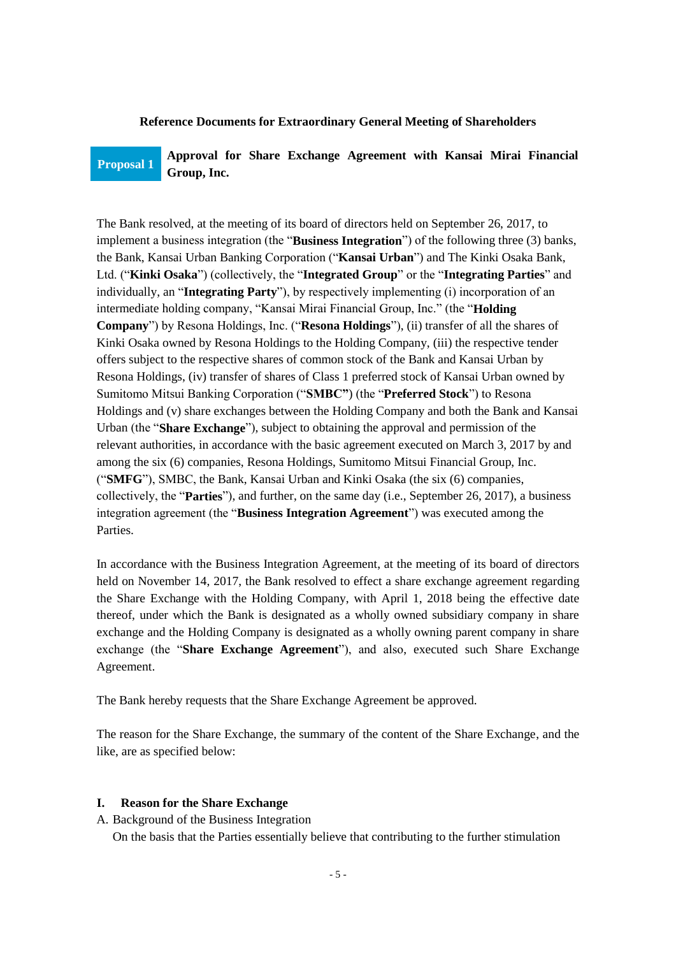#### **Reference Documents for Extraordinary General Meeting of Shareholders**

# **Proposal 1 Approval for Share Exchange Agreement with Kansai Mirai Financial Group, Inc.**

The Bank resolved, at the meeting of its board of directors held on September 26, 2017, to implement a business integration (the "**Business Integration**") of the following three (3) banks, the Bank, Kansai Urban Banking Corporation ("**Kansai Urban**") and The Kinki Osaka Bank, Ltd. ("**Kinki Osaka**") (collectively, the "**Integrated Group**" or the "**Integrating Parties**" and individually, an "**Integrating Party**"), by respectively implementing (i) incorporation of an intermediate holding company, "Kansai Mirai Financial Group, Inc." (the "**Holding Company**") by Resona Holdings, Inc. ("**Resona Holdings**"), (ii) transfer of all the shares of Kinki Osaka owned by Resona Holdings to the Holding Company, (iii) the respective tender offers subject to the respective shares of common stock of the Bank and Kansai Urban by Resona Holdings, (iv) transfer of shares of Class 1 preferred stock of Kansai Urban owned by Sumitomo Mitsui Banking Corporation ("**SMBC"**) (the "**Preferred Stock**") to Resona Holdings and (v) share exchanges between the Holding Company and both the Bank and Kansai Urban (the "**Share Exchange**"), subject to obtaining the approval and permission of the relevant authorities, in accordance with the basic agreement executed on March 3, 2017 by and among the six (6) companies, Resona Holdings, Sumitomo Mitsui Financial Group, Inc. ("**SMFG**"), SMBC, the Bank, Kansai Urban and Kinki Osaka (the six (6) companies, collectively, the "**Parties**"), and further, on the same day (i.e., September 26, 2017), a business integration agreement (the "**Business Integration Agreement**") was executed among the Parties.

In accordance with the Business Integration Agreement, at the meeting of its board of directors held on November 14, 2017, the Bank resolved to effect a share exchange agreement regarding the Share Exchange with the Holding Company, with April 1, 2018 being the effective date thereof, under which the Bank is designated as a wholly owned subsidiary company in share exchange and the Holding Company is designated as a wholly owning parent company in share exchange (the "**Share Exchange Agreement**"), and also, executed such Share Exchange Agreement.

The Bank hereby requests that the Share Exchange Agreement be approved.

The reason for the Share Exchange, the summary of the content of the Share Exchange, and the like, are as specified below:

#### **I. Reason for the Share Exchange**

A. Background of the Business Integration

On the basis that the Parties essentially believe that contributing to the further stimulation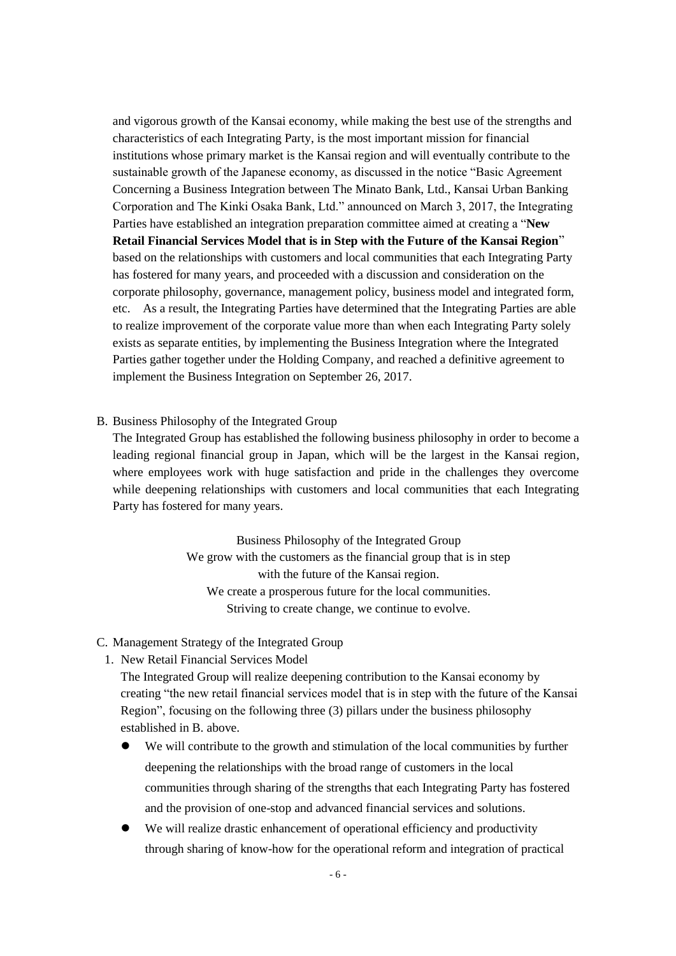and vigorous growth of the Kansai economy, while making the best use of the strengths and characteristics of each Integrating Party, is the most important mission for financial institutions whose primary market is the Kansai region and will eventually contribute to the sustainable growth of the Japanese economy, as discussed in the notice "Basic Agreement Concerning a Business Integration between The Minato Bank, Ltd., Kansai Urban Banking Corporation and The Kinki Osaka Bank, Ltd." announced on March 3, 2017, the Integrating Parties have established an integration preparation committee aimed at creating a "**New Retail Financial Services Model that is in Step with the Future of the Kansai Region**" based on the relationships with customers and local communities that each Integrating Party has fostered for many years, and proceeded with a discussion and consideration on the corporate philosophy, governance, management policy, business model and integrated form, etc. As a result, the Integrating Parties have determined that the Integrating Parties are able to realize improvement of the corporate value more than when each Integrating Party solely exists as separate entities, by implementing the Business Integration where the Integrated Parties gather together under the Holding Company, and reached a definitive agreement to implement the Business Integration on September 26, 2017.

#### B. Business Philosophy of the Integrated Group

The Integrated Group has established the following business philosophy in order to become a leading regional financial group in Japan, which will be the largest in the Kansai region, where employees work with huge satisfaction and pride in the challenges they overcome while deepening relationships with customers and local communities that each Integrating Party has fostered for many years.

> Business Philosophy of the Integrated Group We grow with the customers as the financial group that is in step with the future of the Kansai region. We create a prosperous future for the local communities. Striving to create change, we continue to evolve.

C. Management Strategy of the Integrated Group

1. New Retail Financial Services Model

The Integrated Group will realize deepening contribution to the Kansai economy by creating "the new retail financial services model that is in step with the future of the Kansai Region", focusing on the following three (3) pillars under the business philosophy established in B. above.

- We will contribute to the growth and stimulation of the local communities by further deepening the relationships with the broad range of customers in the local communities through sharing of the strengths that each Integrating Party has fostered and the provision of one-stop and advanced financial services and solutions.
- We will realize drastic enhancement of operational efficiency and productivity through sharing of know-how for the operational reform and integration of practical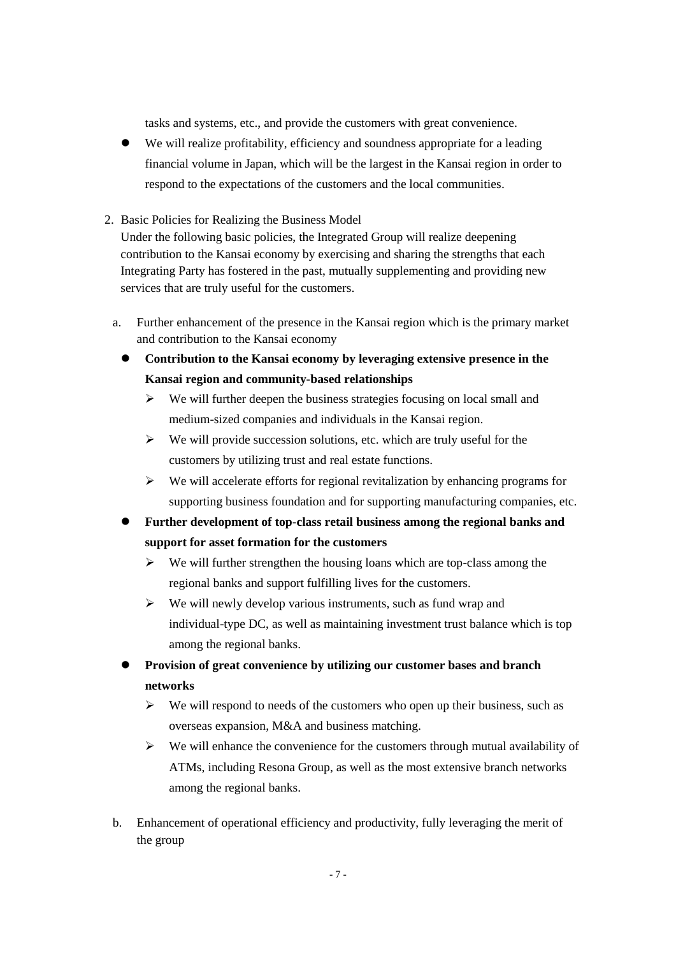tasks and systems, etc., and provide the customers with great convenience.

- We will realize profitability, efficiency and soundness appropriate for a leading financial volume in Japan, which will be the largest in the Kansai region in order to respond to the expectations of the customers and the local communities.
- 2. Basic Policies for Realizing the Business Model

Under the following basic policies, the Integrated Group will realize deepening contribution to the Kansai economy by exercising and sharing the strengths that each Integrating Party has fostered in the past, mutually supplementing and providing new services that are truly useful for the customers.

- a. Further enhancement of the presence in the Kansai region which is the primary market and contribution to the Kansai economy
	- **Contribution to the Kansai economy by leveraging extensive presence in the Kansai region and community-based relationships**
		- $\triangleright$  We will further deepen the business strategies focusing on local small and medium-sized companies and individuals in the Kansai region.
		- $\triangleright$  We will provide succession solutions, etc. which are truly useful for the customers by utilizing trust and real estate functions.
		- $\triangleright$  We will accelerate efforts for regional revitalization by enhancing programs for supporting business foundation and for supporting manufacturing companies, etc.
	- **Further development of top-class retail business among the regional banks and support for asset formation for the customers**
		- $\triangleright$  We will further strengthen the housing loans which are top-class among the regional banks and support fulfilling lives for the customers.
		- $\triangleright$  We will newly develop various instruments, such as fund wrap and individual-type DC, as well as maintaining investment trust balance which is top among the regional banks.
	- **Provision of great convenience by utilizing our customer bases and branch networks**
		- $\triangleright$  We will respond to needs of the customers who open up their business, such as overseas expansion, M&A and business matching.
		- $\triangleright$  We will enhance the convenience for the customers through mutual availability of ATMs, including Resona Group, as well as the most extensive branch networks among the regional banks.
- b. Enhancement of operational efficiency and productivity, fully leveraging the merit of the group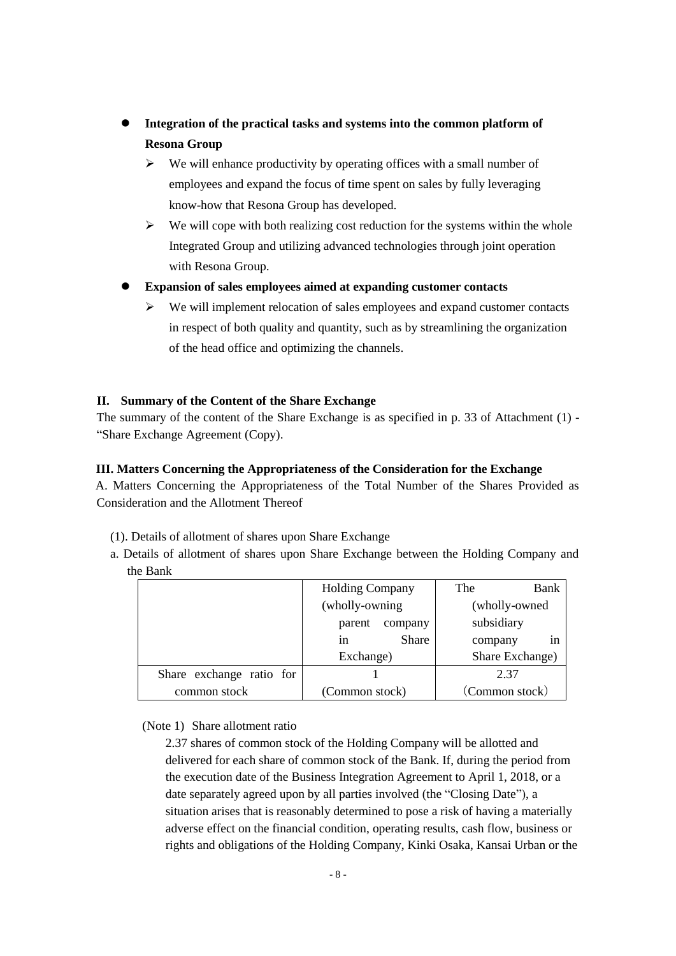- **Integration of the practical tasks and systems into the common platform of Resona Group**
	- $\triangleright$  We will enhance productivity by operating offices with a small number of employees and expand the focus of time spent on sales by fully leveraging know-how that Resona Group has developed.
	- $\triangleright$  We will cope with both realizing cost reduction for the systems within the whole Integrated Group and utilizing advanced technologies through joint operation with Resona Group.
- **Expansion of sales employees aimed at expanding customer contacts**
	- $\triangleright$  We will implement relocation of sales employees and expand customer contacts in respect of both quality and quantity, such as by streamlining the organization of the head office and optimizing the channels.

#### **II. Summary of the Content of the Share Exchange**

The summary of the content of the Share Exchange is as specified in p. 33 of Attachment (1) - "Share Exchange Agreement (Copy).

#### **III. Matters Concerning the Appropriateness of the Consideration for the Exchange**

A. Matters Concerning the Appropriateness of the Total Number of the Shares Provided as Consideration and the Allotment Thereof

- (1). Details of allotment of shares upon Share Exchange
- a. Details of allotment of shares upon Share Exchange between the Holding Company and the Bank

|                          | <b>Holding Company</b> | The<br>Bank     |
|--------------------------|------------------------|-----------------|
|                          | (wholly-owning)        | (wholly-owned)  |
|                          | parent<br>company      | subsidiary      |
|                          | Share<br>1n            | in<br>company   |
|                          | Exchange)              | Share Exchange) |
| Share exchange ratio for |                        | 2.37            |
| common stock             | (Common stock)         | (Common stock)  |

## (Note 1) Share allotment ratio

2.37 shares of common stock of the Holding Company will be allotted and delivered for each share of common stock of the Bank. If, during the period from the execution date of the Business Integration Agreement to April 1, 2018, or a date separately agreed upon by all parties involved (the "Closing Date"), a situation arises that is reasonably determined to pose a risk of having a materially adverse effect on the financial condition, operating results, cash flow, business or rights and obligations of the Holding Company, Kinki Osaka, Kansai Urban or the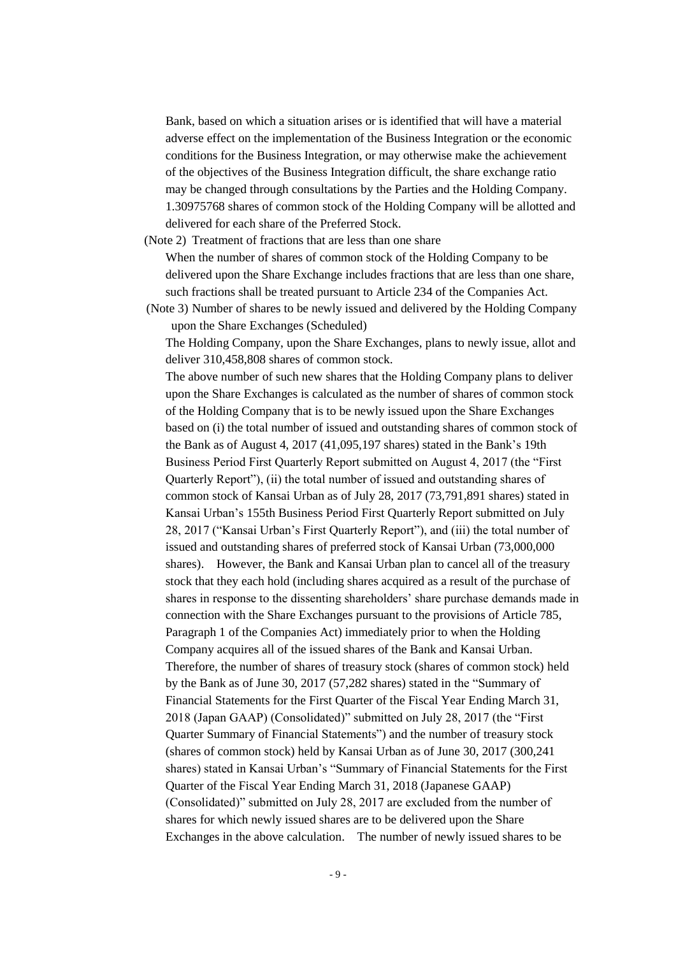Bank, based on which a situation arises or is identified that will have a material adverse effect on the implementation of the Business Integration or the economic conditions for the Business Integration, or may otherwise make the achievement of the objectives of the Business Integration difficult, the share exchange ratio may be changed through consultations by the Parties and the Holding Company. 1.30975768 shares of common stock of the Holding Company will be allotted and delivered for each share of the Preferred Stock.

(Note 2) Treatment of fractions that are less than one share

When the number of shares of common stock of the Holding Company to be delivered upon the Share Exchange includes fractions that are less than one share, such fractions shall be treated pursuant to Article 234 of the Companies Act.

(Note 3) Number of shares to be newly issued and delivered by the Holding Company upon the Share Exchanges (Scheduled)

The Holding Company, upon the Share Exchanges, plans to newly issue, allot and deliver 310,458,808 shares of common stock.

The above number of such new shares that the Holding Company plans to deliver upon the Share Exchanges is calculated as the number of shares of common stock of the Holding Company that is to be newly issued upon the Share Exchanges based on (i) the total number of issued and outstanding shares of common stock of the Bank as of August 4, 2017 (41,095,197 shares) stated in the Bank's 19th Business Period First Quarterly Report submitted on August 4, 2017 (the "First Quarterly Report"), (ii) the total number of issued and outstanding shares of common stock of Kansai Urban as of July 28, 2017 (73,791,891 shares) stated in Kansai Urban's 155th Business Period First Quarterly Report submitted on July 28, 2017 ("Kansai Urban's First Quarterly Report"), and (iii) the total number of issued and outstanding shares of preferred stock of Kansai Urban (73,000,000 shares). However, the Bank and Kansai Urban plan to cancel all of the treasury stock that they each hold (including shares acquired as a result of the purchase of shares in response to the dissenting shareholders' share purchase demands made in connection with the Share Exchanges pursuant to the provisions of Article 785, Paragraph 1 of the Companies Act) immediately prior to when the Holding Company acquires all of the issued shares of the Bank and Kansai Urban. Therefore, the number of shares of treasury stock (shares of common stock) held by the Bank as of June 30, 2017 (57,282 shares) stated in the "Summary of Financial Statements for the First Quarter of the Fiscal Year Ending March 31, 2018 (Japan GAAP) (Consolidated)" submitted on July 28, 2017 (the "First Quarter Summary of Financial Statements") and the number of treasury stock (shares of common stock) held by Kansai Urban as of June 30, 2017 (300,241 shares) stated in Kansai Urban's "Summary of Financial Statements for the First Quarter of the Fiscal Year Ending March 31, 2018 (Japanese GAAP) (Consolidated)" submitted on July 28, 2017 are excluded from the number of shares for which newly issued shares are to be delivered upon the Share Exchanges in the above calculation. The number of newly issued shares to be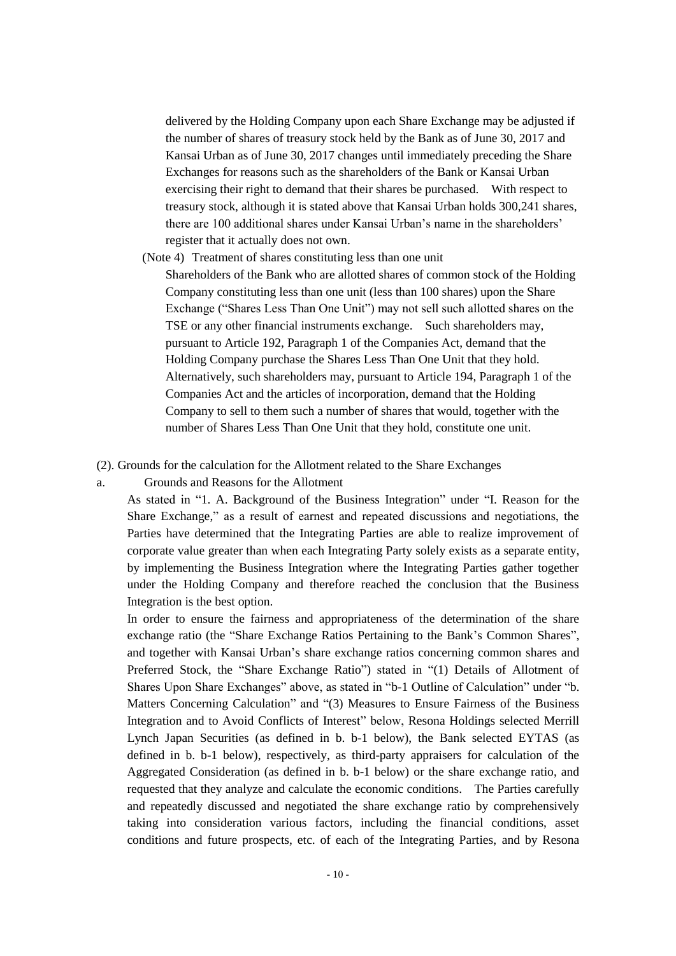delivered by the Holding Company upon each Share Exchange may be adjusted if the number of shares of treasury stock held by the Bank as of June 30, 2017 and Kansai Urban as of June 30, 2017 changes until immediately preceding the Share Exchanges for reasons such as the shareholders of the Bank or Kansai Urban exercising their right to demand that their shares be purchased. With respect to treasury stock, although it is stated above that Kansai Urban holds 300,241 shares, there are 100 additional shares under Kansai Urban's name in the shareholders' register that it actually does not own.

(Note 4) Treatment of shares constituting less than one unit

Shareholders of the Bank who are allotted shares of common stock of the Holding Company constituting less than one unit (less than 100 shares) upon the Share Exchange ("Shares Less Than One Unit") may not sell such allotted shares on the TSE or any other financial instruments exchange. Such shareholders may, pursuant to Article 192, Paragraph 1 of the Companies Act, demand that the Holding Company purchase the Shares Less Than One Unit that they hold. Alternatively, such shareholders may, pursuant to Article 194, Paragraph 1 of the Companies Act and the articles of incorporation, demand that the Holding Company to sell to them such a number of shares that would, together with the number of Shares Less Than One Unit that they hold, constitute one unit.

(2). Grounds for the calculation for the Allotment related to the Share Exchanges

a. Grounds and Reasons for the Allotment

As stated in "1. A. Background of the Business Integration" under "I. Reason for the Share Exchange," as a result of earnest and repeated discussions and negotiations, the Parties have determined that the Integrating Parties are able to realize improvement of corporate value greater than when each Integrating Party solely exists as a separate entity, by implementing the Business Integration where the Integrating Parties gather together under the Holding Company and therefore reached the conclusion that the Business Integration is the best option.

In order to ensure the fairness and appropriateness of the determination of the share exchange ratio (the "Share Exchange Ratios Pertaining to the Bank's Common Shares", and together with Kansai Urban's share exchange ratios concerning common shares and Preferred Stock, the "Share Exchange Ratio") stated in "(1) Details of Allotment of Shares Upon Share Exchanges" above, as stated in "b-1 Outline of Calculation" under "b. Matters Concerning Calculation" and "(3) Measures to Ensure Fairness of the Business Integration and to Avoid Conflicts of Interest" below, Resona Holdings selected Merrill Lynch Japan Securities (as defined in b. b-1 below), the Bank selected EYTAS (as defined in b. b-1 below), respectively, as third-party appraisers for calculation of the Aggregated Consideration (as defined in b. b-1 below) or the share exchange ratio, and requested that they analyze and calculate the economic conditions. The Parties carefully and repeatedly discussed and negotiated the share exchange ratio by comprehensively taking into consideration various factors, including the financial conditions, asset conditions and future prospects, etc. of each of the Integrating Parties, and by Resona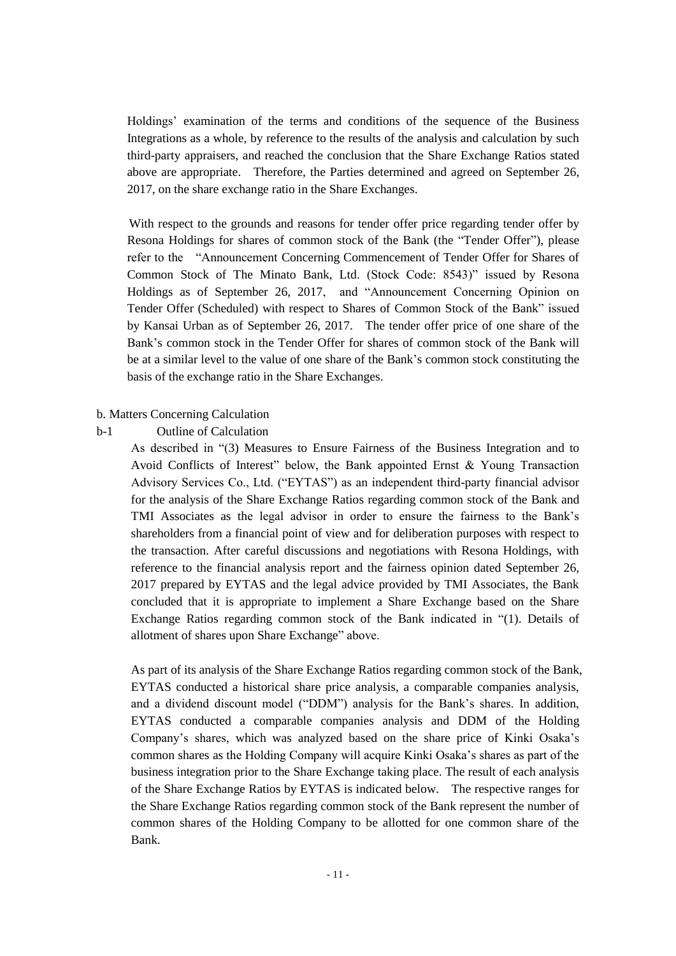Holdings' examination of the terms and conditions of the sequence of the Business Integrations as a whole, by reference to the results of the analysis and calculation by such third-party appraisers, and reached the conclusion that the Share Exchange Ratios stated above are appropriate. Therefore, the Parties determined and agreed on September 26, 2017, on the share exchange ratio in the Share Exchanges.

With respect to the grounds and reasons for tender offer price regarding tender offer by Resona Holdings for shares of common stock of the Bank (the "Tender Offer"), please refer to the "Announcement Concerning Commencement of Tender Offer for Shares of Common Stock of The Minato Bank, Ltd. (Stock Code: 8543)" issued by Resona Holdings as of September 26, 2017, and "Announcement Concerning Opinion on Tender Offer (Scheduled) with respect to Shares of Common Stock of the Bank" issued by Kansai Urban as of September 26, 2017. The tender offer price of one share of the Bank's common stock in the Tender Offer for shares of common stock of the Bank will be at a similar level to the value of one share of the Bank's common stock constituting the basis of the exchange ratio in the Share Exchanges.

#### b. Matters Concerning Calculation

#### b-1 Outline of Calculation

As described in "(3) Measures to Ensure Fairness of the Business Integration and to Avoid Conflicts of Interest" below, the Bank appointed Ernst & Young Transaction Advisory Services Co., Ltd. ("EYTAS") as an independent third-party financial advisor for the analysis of the Share Exchange Ratios regarding common stock of the Bank and TMI Associates as the legal advisor in order to ensure the fairness to the Bank's shareholders from a financial point of view and for deliberation purposes with respect to the transaction. After careful discussions and negotiations with Resona Holdings, with reference to the financial analysis report and the fairness opinion dated September 26, 2017 prepared by EYTAS and the legal advice provided by TMI Associates, the Bank concluded that it is appropriate to implement a Share Exchange based on the Share Exchange Ratios regarding common stock of the Bank indicated in "(1). Details of allotment of shares upon Share Exchange" above.

As part of its analysis of the Share Exchange Ratios regarding common stock of the Bank, EYTAS conducted a historical share price analysis, a comparable companies analysis, and a dividend discount model ("DDM") analysis for the Bank's shares. In addition, EYTAS conducted a comparable companies analysis and DDM of the Holding Company's shares, which was analyzed based on the share price of Kinki Osaka's common shares as the Holding Company will acquire Kinki Osaka's shares as part of the business integration prior to the Share Exchange taking place. The result of each analysis of the Share Exchange Ratios by EYTAS is indicated below. The respective ranges for the Share Exchange Ratios regarding common stock of the Bank represent the number of common shares of the Holding Company to be allotted for one common share of the Bank.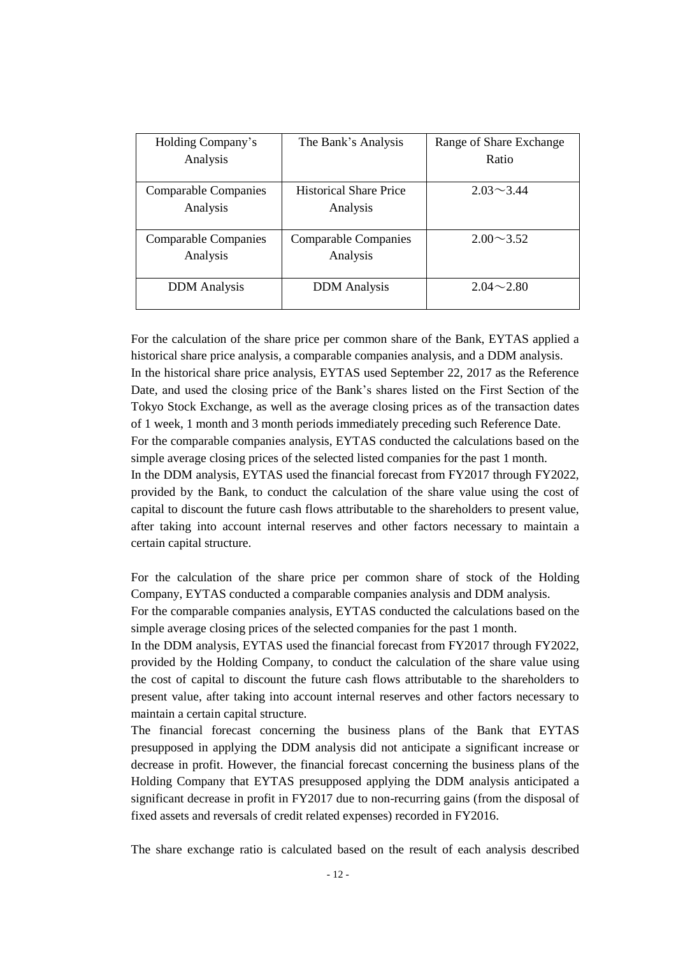| Holding Company's           | The Bank's Analysis           | Range of Share Exchange |
|-----------------------------|-------------------------------|-------------------------|
| Analysis                    |                               | Ratio                   |
|                             |                               |                         |
| <b>Comparable Companies</b> | <b>Historical Share Price</b> | $2.03 \sim 3.44$        |
| Analysis                    | Analysis                      |                         |
|                             |                               |                         |
| <b>Comparable Companies</b> | <b>Comparable Companies</b>   | $2.00 \sim 3.52$        |
| Analysis                    | Analysis                      |                         |
|                             |                               |                         |
| <b>DDM</b> Analysis         | <b>DDM</b> Analysis           | $2.04 - 2.80$           |
|                             |                               |                         |

For the calculation of the share price per common share of the Bank, EYTAS applied a historical share price analysis, a comparable companies analysis, and a DDM analysis. In the historical share price analysis, EYTAS used September 22, 2017 as the Reference Date, and used the closing price of the Bank's shares listed on the First Section of the Tokyo Stock Exchange, as well as the average closing prices as of the transaction dates of 1 week, 1 month and 3 month periods immediately preceding such Reference Date. For the comparable companies analysis, EYTAS conducted the calculations based on the simple average closing prices of the selected listed companies for the past 1 month. In the DDM analysis, EYTAS used the financial forecast from FY2017 through FY2022, provided by the Bank, to conduct the calculation of the share value using the cost of capital to discount the future cash flows attributable to the shareholders to present value, after taking into account internal reserves and other factors necessary to maintain a certain capital structure.

For the calculation of the share price per common share of stock of the Holding Company, EYTAS conducted a comparable companies analysis and DDM analysis.

For the comparable companies analysis, EYTAS conducted the calculations based on the simple average closing prices of the selected companies for the past 1 month.

In the DDM analysis, EYTAS used the financial forecast from FY2017 through FY2022, provided by the Holding Company, to conduct the calculation of the share value using the cost of capital to discount the future cash flows attributable to the shareholders to present value, after taking into account internal reserves and other factors necessary to maintain a certain capital structure.

The financial forecast concerning the business plans of the Bank that EYTAS presupposed in applying the DDM analysis did not anticipate a significant increase or decrease in profit. However, the financial forecast concerning the business plans of the Holding Company that EYTAS presupposed applying the DDM analysis anticipated a significant decrease in profit in FY2017 due to non-recurring gains (from the disposal of fixed assets and reversals of credit related expenses) recorded in FY2016.

The share exchange ratio is calculated based on the result of each analysis described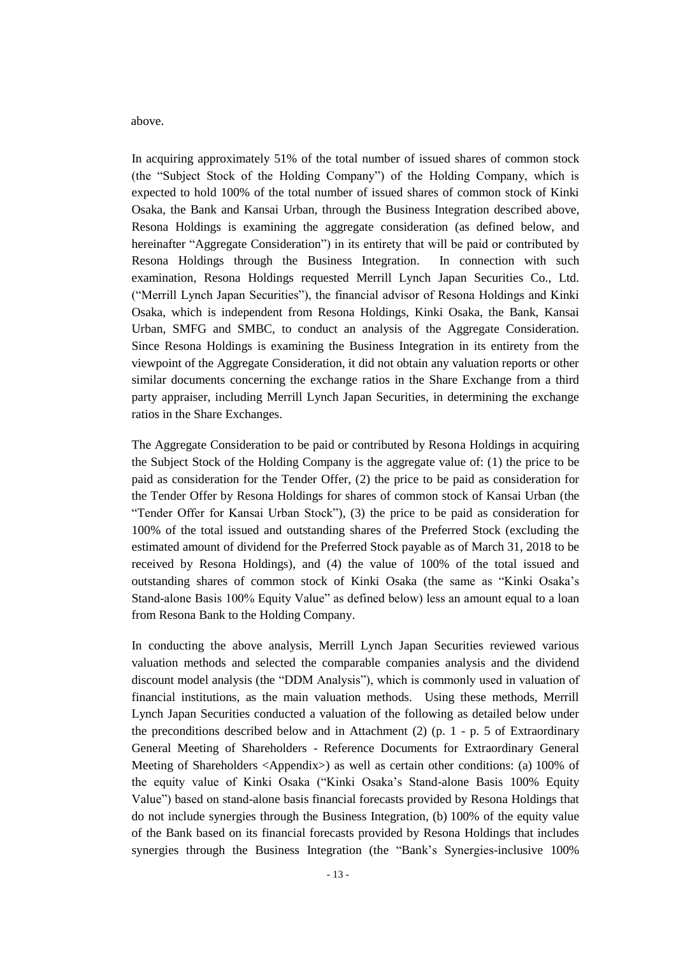above.

In acquiring approximately 51% of the total number of issued shares of common stock (the "Subject Stock of the Holding Company") of the Holding Company, which is expected to hold 100% of the total number of issued shares of common stock of Kinki Osaka, the Bank and Kansai Urban, through the Business Integration described above, Resona Holdings is examining the aggregate consideration (as defined below, and hereinafter "Aggregate Consideration") in its entirety that will be paid or contributed by Resona Holdings through the Business Integration. In connection with such examination, Resona Holdings requested Merrill Lynch Japan Securities Co., Ltd. ("Merrill Lynch Japan Securities"), the financial advisor of Resona Holdings and Kinki Osaka, which is independent from Resona Holdings, Kinki Osaka, the Bank, Kansai Urban, SMFG and SMBC, to conduct an analysis of the Aggregate Consideration. Since Resona Holdings is examining the Business Integration in its entirety from the viewpoint of the Aggregate Consideration, it did not obtain any valuation reports or other similar documents concerning the exchange ratios in the Share Exchange from a third party appraiser, including Merrill Lynch Japan Securities, in determining the exchange ratios in the Share Exchanges.

The Aggregate Consideration to be paid or contributed by Resona Holdings in acquiring the Subject Stock of the Holding Company is the aggregate value of: (1) the price to be paid as consideration for the Tender Offer, (2) the price to be paid as consideration for the Tender Offer by Resona Holdings for shares of common stock of Kansai Urban (the "Tender Offer for Kansai Urban Stock"), (3) the price to be paid as consideration for 100% of the total issued and outstanding shares of the Preferred Stock (excluding the estimated amount of dividend for the Preferred Stock payable as of March 31, 2018 to be received by Resona Holdings), and (4) the value of 100% of the total issued and outstanding shares of common stock of Kinki Osaka (the same as "Kinki Osaka's Stand-alone Basis 100% Equity Value" as defined below) less an amount equal to a loan from Resona Bank to the Holding Company.

In conducting the above analysis, Merrill Lynch Japan Securities reviewed various valuation methods and selected the comparable companies analysis and the dividend discount model analysis (the "DDM Analysis"), which is commonly used in valuation of financial institutions, as the main valuation methods. Using these methods, Merrill Lynch Japan Securities conducted a valuation of the following as detailed below under the preconditions described below and in Attachment (2) (p.  $1 - p$ , 5 of Extraordinary General Meeting of Shareholders - Reference Documents for Extraordinary General Meeting of Shareholders <Appendix>) as well as certain other conditions: (a) 100% of the equity value of Kinki Osaka ("Kinki Osaka's Stand-alone Basis 100% Equity Value") based on stand-alone basis financial forecasts provided by Resona Holdings that do not include synergies through the Business Integration, (b) 100% of the equity value of the Bank based on its financial forecasts provided by Resona Holdings that includes synergies through the Business Integration (the "Bank's Synergies-inclusive 100%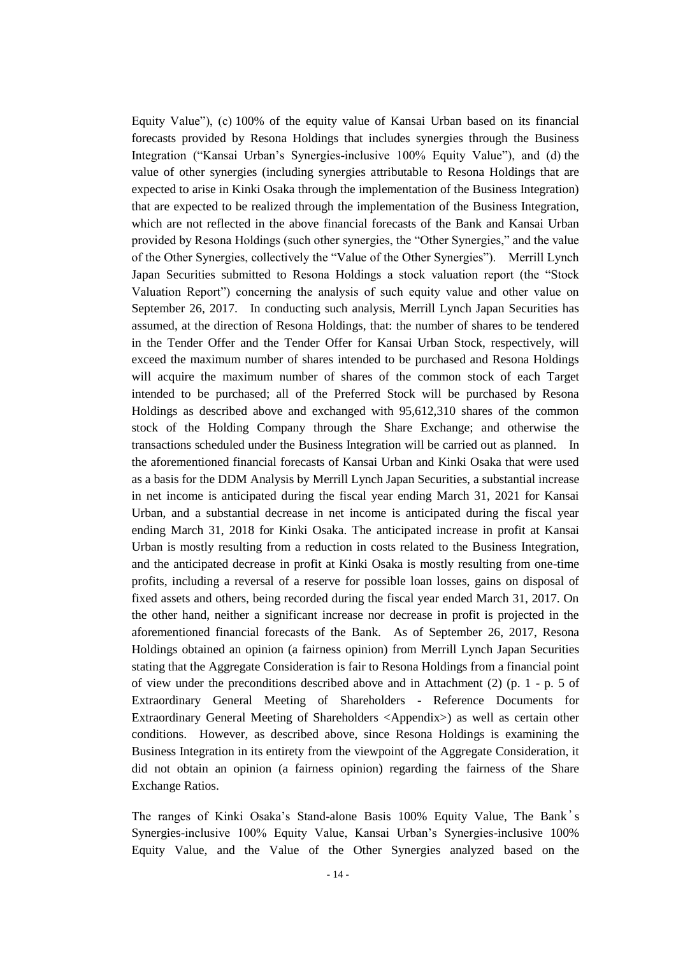Equity Value"), (c) 100% of the equity value of Kansai Urban based on its financial forecasts provided by Resona Holdings that includes synergies through the Business Integration ("Kansai Urban's Synergies-inclusive 100% Equity Value"), and (d) the value of other synergies (including synergies attributable to Resona Holdings that are expected to arise in Kinki Osaka through the implementation of the Business Integration) that are expected to be realized through the implementation of the Business Integration, which are not reflected in the above financial forecasts of the Bank and Kansai Urban provided by Resona Holdings (such other synergies, the "Other Synergies," and the value of the Other Synergies, collectively the "Value of the Other Synergies"). Merrill Lynch Japan Securities submitted to Resona Holdings a stock valuation report (the "Stock Valuation Report") concerning the analysis of such equity value and other value on September 26, 2017. In conducting such analysis, Merrill Lynch Japan Securities has assumed, at the direction of Resona Holdings, that: the number of shares to be tendered in the Tender Offer and the Tender Offer for Kansai Urban Stock, respectively, will exceed the maximum number of shares intended to be purchased and Resona Holdings will acquire the maximum number of shares of the common stock of each Target intended to be purchased; all of the Preferred Stock will be purchased by Resona Holdings as described above and exchanged with 95,612,310 shares of the common stock of the Holding Company through the Share Exchange; and otherwise the transactions scheduled under the Business Integration will be carried out as planned. In the aforementioned financial forecasts of Kansai Urban and Kinki Osaka that were used as a basis for the DDM Analysis by Merrill Lynch Japan Securities, a substantial increase in net income is anticipated during the fiscal year ending March 31, 2021 for Kansai Urban, and a substantial decrease in net income is anticipated during the fiscal year ending March 31, 2018 for Kinki Osaka. The anticipated increase in profit at Kansai Urban is mostly resulting from a reduction in costs related to the Business Integration, and the anticipated decrease in profit at Kinki Osaka is mostly resulting from one-time profits, including a reversal of a reserve for possible loan losses, gains on disposal of fixed assets and others, being recorded during the fiscal year ended March 31, 2017. On the other hand, neither a significant increase nor decrease in profit is projected in the aforementioned financial forecasts of the Bank. As of September 26, 2017, Resona Holdings obtained an opinion (a fairness opinion) from Merrill Lynch Japan Securities stating that the Aggregate Consideration is fair to Resona Holdings from a financial point of view under the preconditions described above and in Attachment (2) (p. 1 - p. 5 of Extraordinary General Meeting of Shareholders - Reference Documents for Extraordinary General Meeting of Shareholders <Appendix>) as well as certain other conditions. However, as described above, since Resona Holdings is examining the Business Integration in its entirety from the viewpoint of the Aggregate Consideration, it did not obtain an opinion (a fairness opinion) regarding the fairness of the Share Exchange Ratios.

The ranges of Kinki Osaka's Stand-alone Basis 100% Equity Value, The Bank's Synergies-inclusive 100% Equity Value, Kansai Urban's Synergies-inclusive 100% Equity Value, and the Value of the Other Synergies analyzed based on the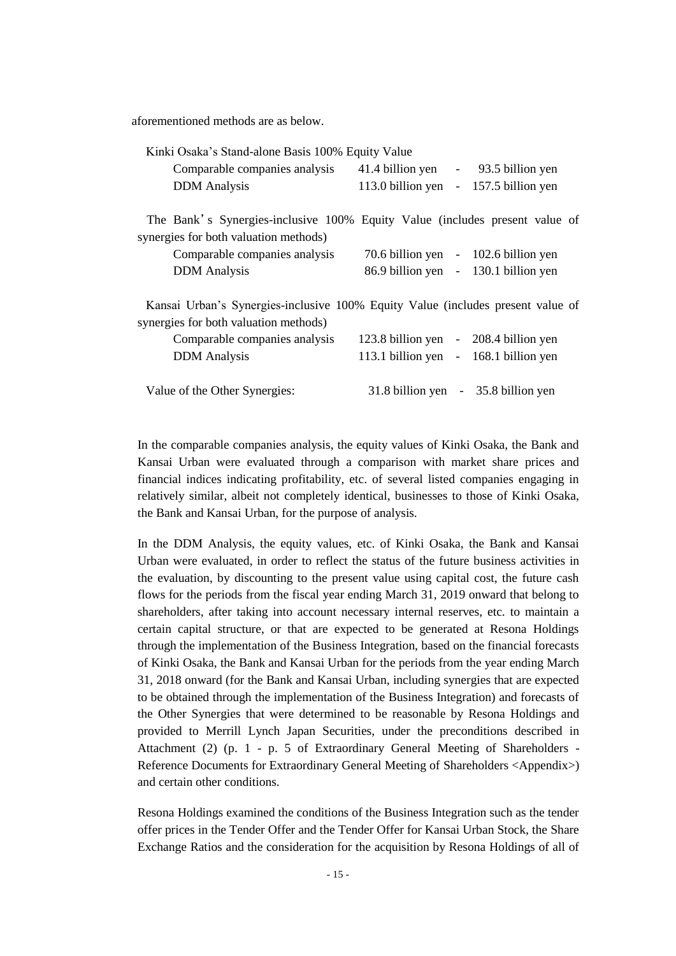aforementioned methods are as below.

| Kinki Osaka's Stand-alone Basis 100% Equity Value                                                                        |                                     |                          |                      |
|--------------------------------------------------------------------------------------------------------------------------|-------------------------------------|--------------------------|----------------------|
| Comparable companies analysis                                                                                            | 41.4 billion yen - 93.5 billion yen |                          |                      |
| <b>DDM</b> Analysis                                                                                                      | 113.0 billion yen                   | $\equiv$                 | 157.5 billion yen    |
| The Bank's Synergies-inclusive 100% Equity Value (includes present value of<br>synergies for both valuation methods)     |                                     |                          |                      |
| Comparable companies analysis                                                                                            | 70.6 billion yen                    |                          | $-102.6$ billion yen |
| <b>DDM</b> Analysis                                                                                                      | 86.9 billion yen                    |                          | $-130.1$ billion yen |
| Kansai Urban's Synergies-inclusive 100% Equity Value (includes present value of<br>synergies for both valuation methods) |                                     |                          |                      |
| Comparable companies analysis                                                                                            | 123.8 billion yen                   |                          | $-208.4$ billion yen |
| <b>DDM</b> Analysis                                                                                                      | 113.1 billion yen                   | $\overline{\phantom{a}}$ | 168.1 billion yen    |
| Value of the Other Synergies:                                                                                            | 31.8 billion yen                    |                          | - 35.8 billion yen   |

In the comparable companies analysis, the equity values of Kinki Osaka, the Bank and Kansai Urban were evaluated through a comparison with market share prices and financial indices indicating profitability, etc. of several listed companies engaging in relatively similar, albeit not completely identical, businesses to those of Kinki Osaka, the Bank and Kansai Urban, for the purpose of analysis.

In the DDM Analysis, the equity values, etc. of Kinki Osaka, the Bank and Kansai Urban were evaluated, in order to reflect the status of the future business activities in the evaluation, by discounting to the present value using capital cost, the future cash flows for the periods from the fiscal year ending March 31, 2019 onward that belong to shareholders, after taking into account necessary internal reserves, etc. to maintain a certain capital structure, or that are expected to be generated at Resona Holdings through the implementation of the Business Integration, based on the financial forecasts of Kinki Osaka, the Bank and Kansai Urban for the periods from the year ending March 31, 2018 onward (for the Bank and Kansai Urban, including synergies that are expected to be obtained through the implementation of the Business Integration) and forecasts of the Other Synergies that were determined to be reasonable by Resona Holdings and provided to Merrill Lynch Japan Securities, under the preconditions described in Attachment (2) (p. 1 - p. 5 of Extraordinary General Meeting of Shareholders - Reference Documents for Extraordinary General Meeting of Shareholders <Appendix>) and certain other conditions.

Resona Holdings examined the conditions of the Business Integration such as the tender offer prices in the Tender Offer and the Tender Offer for Kansai Urban Stock, the Share Exchange Ratios and the consideration for the acquisition by Resona Holdings of all of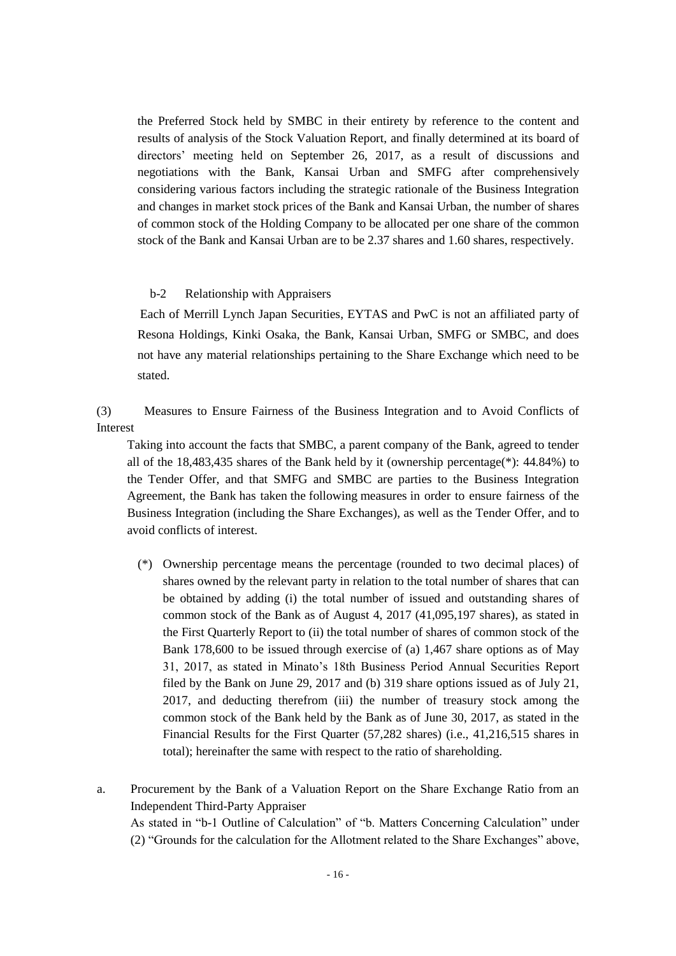the Preferred Stock held by SMBC in their entirety by reference to the content and results of analysis of the Stock Valuation Report, and finally determined at its board of directors' meeting held on September 26, 2017, as a result of discussions and negotiations with the Bank, Kansai Urban and SMFG after comprehensively considering various factors including the strategic rationale of the Business Integration and changes in market stock prices of the Bank and Kansai Urban, the number of shares of common stock of the Holding Company to be allocated per one share of the common stock of the Bank and Kansai Urban are to be 2.37 shares and 1.60 shares, respectively.

## b-2 Relationship with Appraisers

Each of Merrill Lynch Japan Securities, EYTAS and PwC is not an affiliated party of Resona Holdings, Kinki Osaka, the Bank, Kansai Urban, SMFG or SMBC, and does not have any material relationships pertaining to the Share Exchange which need to be stated.

(3) Measures to Ensure Fairness of the Business Integration and to Avoid Conflicts of Interest

Taking into account the facts that SMBC, a parent company of the Bank, agreed to tender all of the 18,483,435 shares of the Bank held by it (ownership percentage(\*): 44.84%) to the Tender Offer, and that SMFG and SMBC are parties to the Business Integration Agreement, the Bank has taken the following measures in order to ensure fairness of the Business Integration (including the Share Exchanges), as well as the Tender Offer, and to avoid conflicts of interest.

- (\*) Ownership percentage means the percentage (rounded to two decimal places) of shares owned by the relevant party in relation to the total number of shares that can be obtained by adding (i) the total number of issued and outstanding shares of common stock of the Bank as of August 4, 2017 (41,095,197 shares), as stated in the First Quarterly Report to (ii) the total number of shares of common stock of the Bank 178,600 to be issued through exercise of (a) 1,467 share options as of May 31, 2017, as stated in Minato's 18th Business Period Annual Securities Report filed by the Bank on June 29, 2017 and (b) 319 share options issued as of July 21, 2017, and deducting therefrom (iii) the number of treasury stock among the common stock of the Bank held by the Bank as of June 30, 2017, as stated in the Financial Results for the First Quarter (57,282 shares) (i.e., 41,216,515 shares in total); hereinafter the same with respect to the ratio of shareholding.
- a. Procurement by the Bank of a Valuation Report on the Share Exchange Ratio from an Independent Third-Party Appraiser As stated in "b-1 Outline of Calculation" of "b. Matters Concerning Calculation" under (2) "Grounds for the calculation for the Allotment related to the Share Exchanges" above,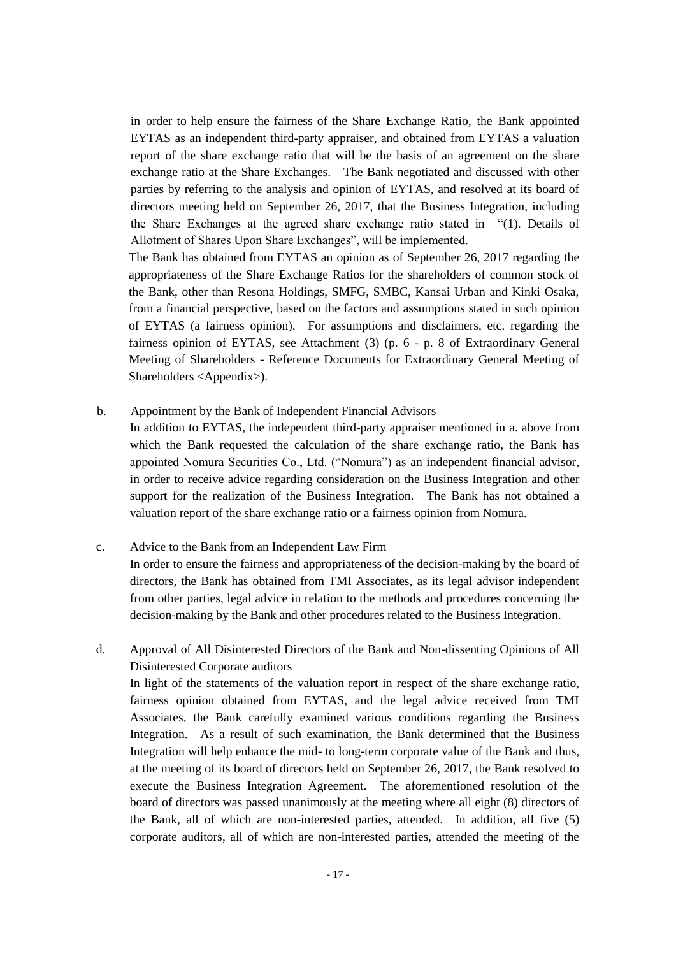in order to help ensure the fairness of the Share Exchange Ratio, the Bank appointed EYTAS as an independent third-party appraiser, and obtained from EYTAS a valuation report of the share exchange ratio that will be the basis of an agreement on the share exchange ratio at the Share Exchanges. The Bank negotiated and discussed with other parties by referring to the analysis and opinion of EYTAS, and resolved at its board of directors meeting held on September 26, 2017, that the Business Integration, including the Share Exchanges at the agreed share exchange ratio stated in "(1). Details of Allotment of Shares Upon Share Exchanges", will be implemented.

The Bank has obtained from EYTAS an opinion as of September 26, 2017 regarding the appropriateness of the Share Exchange Ratios for the shareholders of common stock of the Bank, other than Resona Holdings, SMFG, SMBC, Kansai Urban and Kinki Osaka, from a financial perspective, based on the factors and assumptions stated in such opinion of EYTAS (a fairness opinion). For assumptions and disclaimers, etc. regarding the fairness opinion of EYTAS, see Attachment (3) (p. 6 - p. 8 of Extraordinary General Meeting of Shareholders - Reference Documents for Extraordinary General Meeting of Shareholders <Appendix>).

#### b. Appointment by the Bank of Independent Financial Advisors

In addition to EYTAS, the independent third-party appraiser mentioned in a. above from which the Bank requested the calculation of the share exchange ratio, the Bank has appointed Nomura Securities Co., Ltd. ("Nomura") as an independent financial advisor, in order to receive advice regarding consideration on the Business Integration and other support for the realization of the Business Integration. The Bank has not obtained a valuation report of the share exchange ratio or a fairness opinion from Nomura.

c. Advice to the Bank from an Independent Law Firm In order to ensure the fairness and appropriateness of the decision-making by the board of directors, the Bank has obtained from TMI Associates, as its legal advisor independent from other parties, legal advice in relation to the methods and procedures concerning the decision-making by the Bank and other procedures related to the Business Integration.

# d. Approval of All Disinterested Directors of the Bank and Non-dissenting Opinions of All Disinterested Corporate auditors

In light of the statements of the valuation report in respect of the share exchange ratio, fairness opinion obtained from EYTAS, and the legal advice received from TMI Associates, the Bank carefully examined various conditions regarding the Business Integration. As a result of such examination, the Bank determined that the Business Integration will help enhance the mid- to long-term corporate value of the Bank and thus, at the meeting of its board of directors held on September 26, 2017, the Bank resolved to execute the Business Integration Agreement. The aforementioned resolution of the board of directors was passed unanimously at the meeting where all eight (8) directors of the Bank, all of which are non-interested parties, attended. In addition, all five (5) corporate auditors, all of which are non-interested parties, attended the meeting of the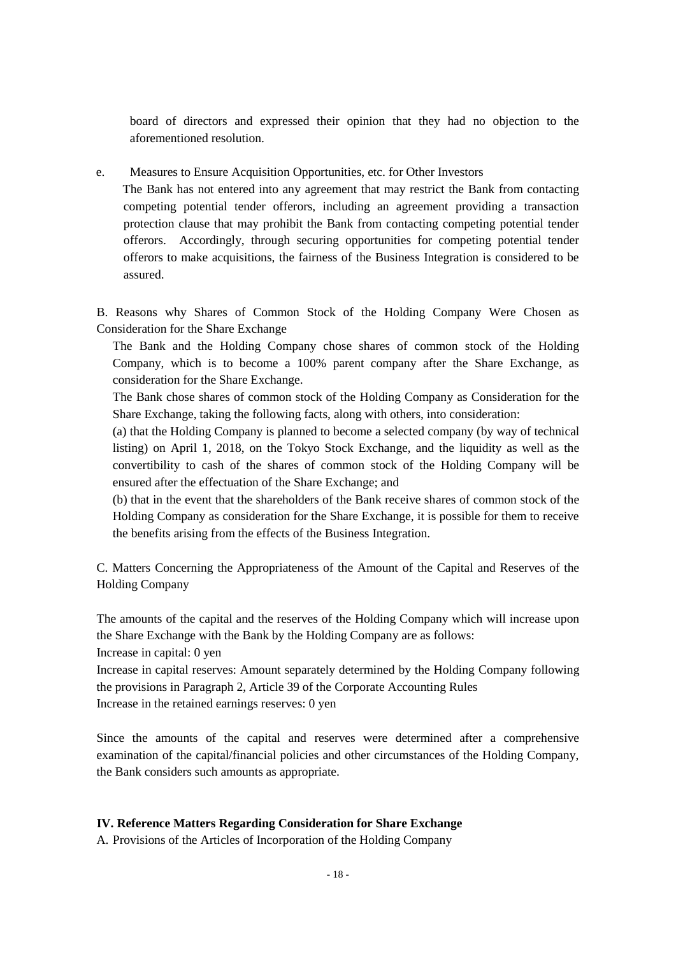board of directors and expressed their opinion that they had no objection to the aforementioned resolution.

e. Measures to Ensure Acquisition Opportunities, etc. for Other Investors

The Bank has not entered into any agreement that may restrict the Bank from contacting competing potential tender offerors, including an agreement providing a transaction protection clause that may prohibit the Bank from contacting competing potential tender offerors. Accordingly, through securing opportunities for competing potential tender offerors to make acquisitions, the fairness of the Business Integration is considered to be assured.

B. Reasons why Shares of Common Stock of the Holding Company Were Chosen as Consideration for the Share Exchange

The Bank and the Holding Company chose shares of common stock of the Holding Company, which is to become a 100% parent company after the Share Exchange, as consideration for the Share Exchange.

The Bank chose shares of common stock of the Holding Company as Consideration for the Share Exchange, taking the following facts, along with others, into consideration:

(a) that the Holding Company is planned to become a selected company (by way of technical listing) on April 1, 2018, on the Tokyo Stock Exchange, and the liquidity as well as the convertibility to cash of the shares of common stock of the Holding Company will be ensured after the effectuation of the Share Exchange; and

(b) that in the event that the shareholders of the Bank receive shares of common stock of the Holding Company as consideration for the Share Exchange, it is possible for them to receive the benefits arising from the effects of the Business Integration.

C. Matters Concerning the Appropriateness of the Amount of the Capital and Reserves of the Holding Company

The amounts of the capital and the reserves of the Holding Company which will increase upon the Share Exchange with the Bank by the Holding Company are as follows: Increase in capital: 0 yen

Increase in capital reserves: Amount separately determined by the Holding Company following the provisions in Paragraph 2, Article 39 of the Corporate Accounting Rules Increase in the retained earnings reserves: 0 yen

Since the amounts of the capital and reserves were determined after a comprehensive examination of the capital/financial policies and other circumstances of the Holding Company, the Bank considers such amounts as appropriate.

# **IV. Reference Matters Regarding Consideration for Share Exchange**

A. Provisions of the Articles of Incorporation of the Holding Company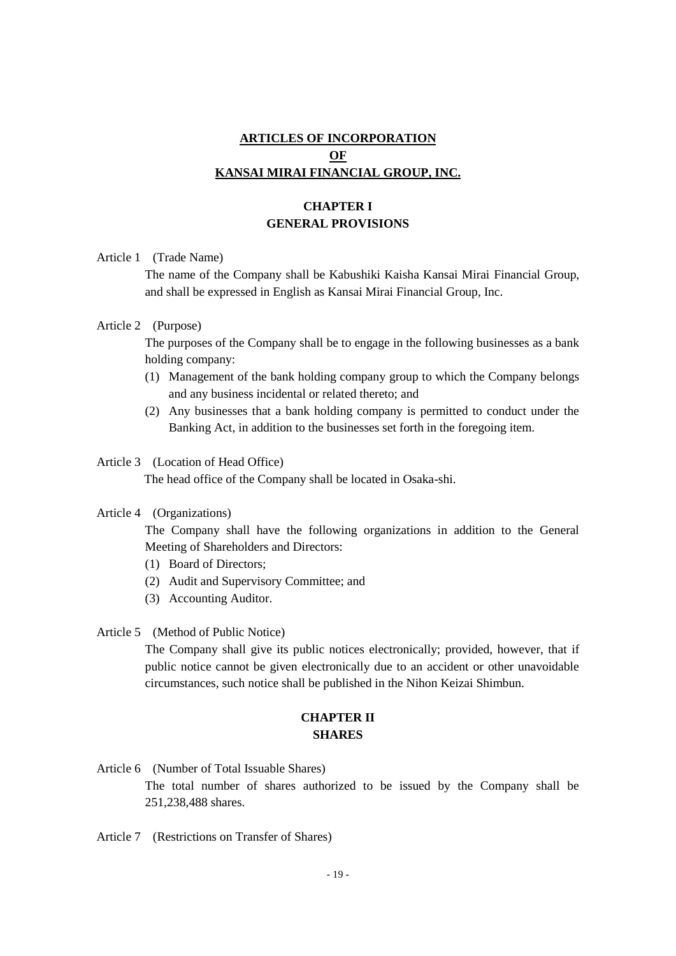# **ARTICLES OF INCORPORATION OF KANSAI MIRAI FINANCIAL GROUP, INC.**

# **CHAPTER I GENERAL PROVISIONS**

Article 1 (Trade Name)

The name of the Company shall be Kabushiki Kaisha Kansai Mirai Financial Group, and shall be expressed in English as Kansai Mirai Financial Group, Inc.

#### Article 2 (Purpose)

The purposes of the Company shall be to engage in the following businesses as a bank holding company:

- (1) Management of the bank holding company group to which the Company belongs and any business incidental or related thereto; and
- (2) Any businesses that a bank holding company is permitted to conduct under the Banking Act, in addition to the businesses set forth in the foregoing item.

#### Article 3 (Location of Head Office)

The head office of the Company shall be located in Osaka-shi.

#### Article 4 (Organizations)

The Company shall have the following organizations in addition to the General Meeting of Shareholders and Directors:

- (1) Board of Directors;
- (2) Audit and Supervisory Committee; and
- (3) Accounting Auditor.

Article 5 (Method of Public Notice)

The Company shall give its public notices electronically; provided, however, that if public notice cannot be given electronically due to an accident or other unavoidable circumstances, such notice shall be published in the Nihon Keizai Shimbun.

# **CHAPTER II SHARES**

- Article 6 (Number of Total Issuable Shares) The total number of shares authorized to be issued by the Company shall be 251,238,488 shares.
- Article 7 (Restrictions on Transfer of Shares)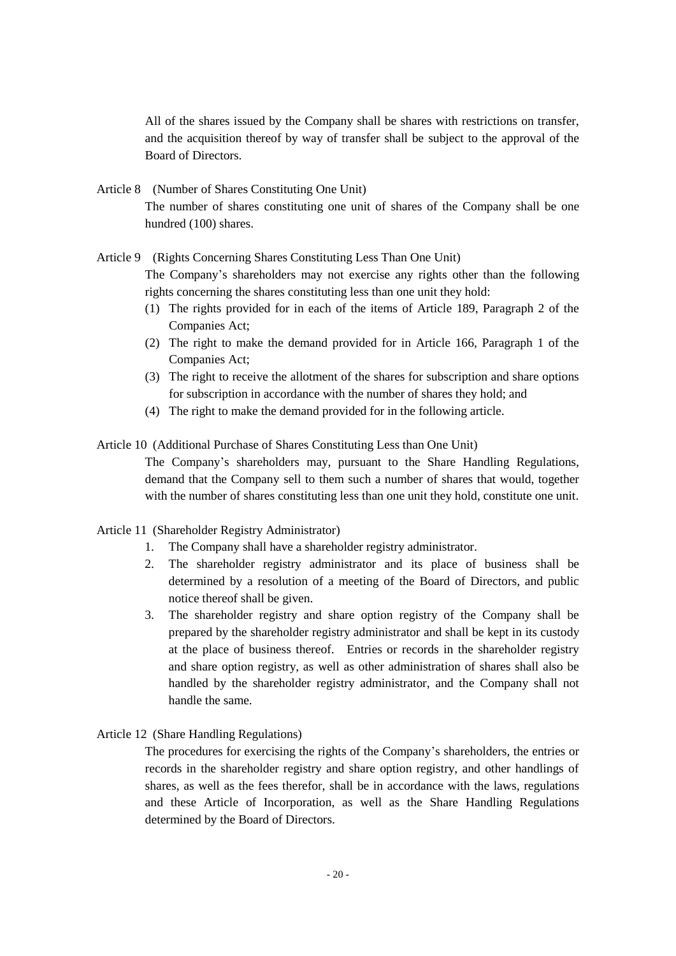All of the shares issued by the Company shall be shares with restrictions on transfer, and the acquisition thereof by way of transfer shall be subject to the approval of the Board of Directors.

- Article 8 (Number of Shares Constituting One Unit) The number of shares constituting one unit of shares of the Company shall be one hundred (100) shares.
- Article 9 (Rights Concerning Shares Constituting Less Than One Unit) The Company's shareholders may not exercise any rights other than the following rights concerning the shares constituting less than one unit they hold:
	- (1) The rights provided for in each of the items of Article 189, Paragraph 2 of the Companies Act;
	- (2) The right to make the demand provided for in Article 166, Paragraph 1 of the Companies Act;
	- (3) The right to receive the allotment of the shares for subscription and share options for subscription in accordance with the number of shares they hold; and
	- (4) The right to make the demand provided for in the following article.
- Article 10 (Additional Purchase of Shares Constituting Less than One Unit)
	- The Company's shareholders may, pursuant to the Share Handling Regulations, demand that the Company sell to them such a number of shares that would, together with the number of shares constituting less than one unit they hold, constitute one unit.

## Article 11 (Shareholder Registry Administrator)

- 1. The Company shall have a shareholder registry administrator.
- 2. The shareholder registry administrator and its place of business shall be determined by a resolution of a meeting of the Board of Directors, and public notice thereof shall be given.
- 3. The shareholder registry and share option registry of the Company shall be prepared by the shareholder registry administrator and shall be kept in its custody at the place of business thereof. Entries or records in the shareholder registry and share option registry, as well as other administration of shares shall also be handled by the shareholder registry administrator, and the Company shall not handle the same.
- Article 12 (Share Handling Regulations)

The procedures for exercising the rights of the Company's shareholders, the entries or records in the shareholder registry and share option registry, and other handlings of shares, as well as the fees therefor, shall be in accordance with the laws, regulations and these Article of Incorporation, as well as the Share Handling Regulations determined by the Board of Directors.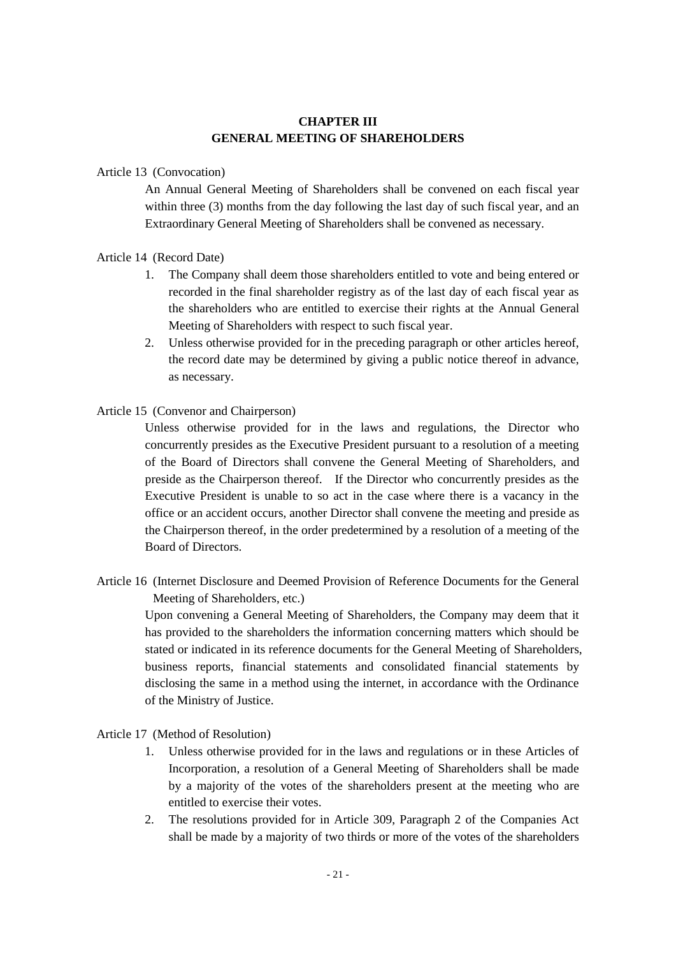# **CHAPTER III GENERAL MEETING OF SHAREHOLDERS**

## Article 13 (Convocation)

An Annual General Meeting of Shareholders shall be convened on each fiscal year within three (3) months from the day following the last day of such fiscal year, and an Extraordinary General Meeting of Shareholders shall be convened as necessary.

## Article 14 (Record Date)

- 1. The Company shall deem those shareholders entitled to vote and being entered or recorded in the final shareholder registry as of the last day of each fiscal year as the shareholders who are entitled to exercise their rights at the Annual General Meeting of Shareholders with respect to such fiscal year.
- 2. Unless otherwise provided for in the preceding paragraph or other articles hereof, the record date may be determined by giving a public notice thereof in advance, as necessary.

#### Article 15 (Convenor and Chairperson)

Unless otherwise provided for in the laws and regulations, the Director who concurrently presides as the Executive President pursuant to a resolution of a meeting of the Board of Directors shall convene the General Meeting of Shareholders, and preside as the Chairperson thereof. If the Director who concurrently presides as the Executive President is unable to so act in the case where there is a vacancy in the office or an accident occurs, another Director shall convene the meeting and preside as the Chairperson thereof, in the order predetermined by a resolution of a meeting of the Board of Directors.

Article 16 (Internet Disclosure and Deemed Provision of Reference Documents for the General Meeting of Shareholders, etc.)

Upon convening a General Meeting of Shareholders, the Company may deem that it has provided to the shareholders the information concerning matters which should be stated or indicated in its reference documents for the General Meeting of Shareholders, business reports, financial statements and consolidated financial statements by disclosing the same in a method using the internet, in accordance with the Ordinance of the Ministry of Justice.

## Article 17 (Method of Resolution)

- 1. Unless otherwise provided for in the laws and regulations or in these Articles of Incorporation, a resolution of a General Meeting of Shareholders shall be made by a majority of the votes of the shareholders present at the meeting who are entitled to exercise their votes.
- 2. The resolutions provided for in Article 309, Paragraph 2 of the Companies Act shall be made by a majority of two thirds or more of the votes of the shareholders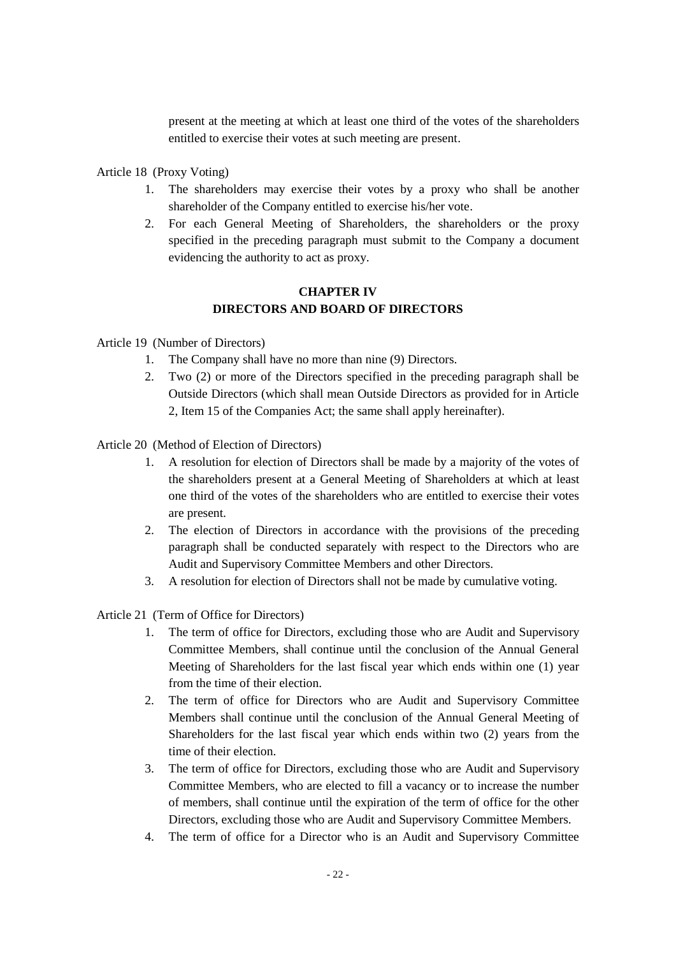present at the meeting at which at least one third of the votes of the shareholders entitled to exercise their votes at such meeting are present.

Article 18 (Proxy Voting)

- 1. The shareholders may exercise their votes by a proxy who shall be another shareholder of the Company entitled to exercise his/her vote.
- 2. For each General Meeting of Shareholders, the shareholders or the proxy specified in the preceding paragraph must submit to the Company a document evidencing the authority to act as proxy.

# **CHAPTER IV DIRECTORS AND BOARD OF DIRECTORS**

Article 19 (Number of Directors)

- 1. The Company shall have no more than nine (9) Directors.
- 2. Two (2) or more of the Directors specified in the preceding paragraph shall be Outside Directors (which shall mean Outside Directors as provided for in Article 2, Item 15 of the Companies Act; the same shall apply hereinafter).

Article 20 (Method of Election of Directors)

- 1. A resolution for election of Directors shall be made by a majority of the votes of the shareholders present at a General Meeting of Shareholders at which at least one third of the votes of the shareholders who are entitled to exercise their votes are present.
- 2. The election of Directors in accordance with the provisions of the preceding paragraph shall be conducted separately with respect to the Directors who are Audit and Supervisory Committee Members and other Directors.
- 3. A resolution for election of Directors shall not be made by cumulative voting.

Article 21 (Term of Office for Directors)

- 1. The term of office for Directors, excluding those who are Audit and Supervisory Committee Members, shall continue until the conclusion of the Annual General Meeting of Shareholders for the last fiscal year which ends within one (1) year from the time of their election.
- 2. The term of office for Directors who are Audit and Supervisory Committee Members shall continue until the conclusion of the Annual General Meeting of Shareholders for the last fiscal year which ends within two (2) years from the time of their election.
- 3. The term of office for Directors, excluding those who are Audit and Supervisory Committee Members, who are elected to fill a vacancy or to increase the number of members, shall continue until the expiration of the term of office for the other Directors, excluding those who are Audit and Supervisory Committee Members.
- 4. The term of office for a Director who is an Audit and Supervisory Committee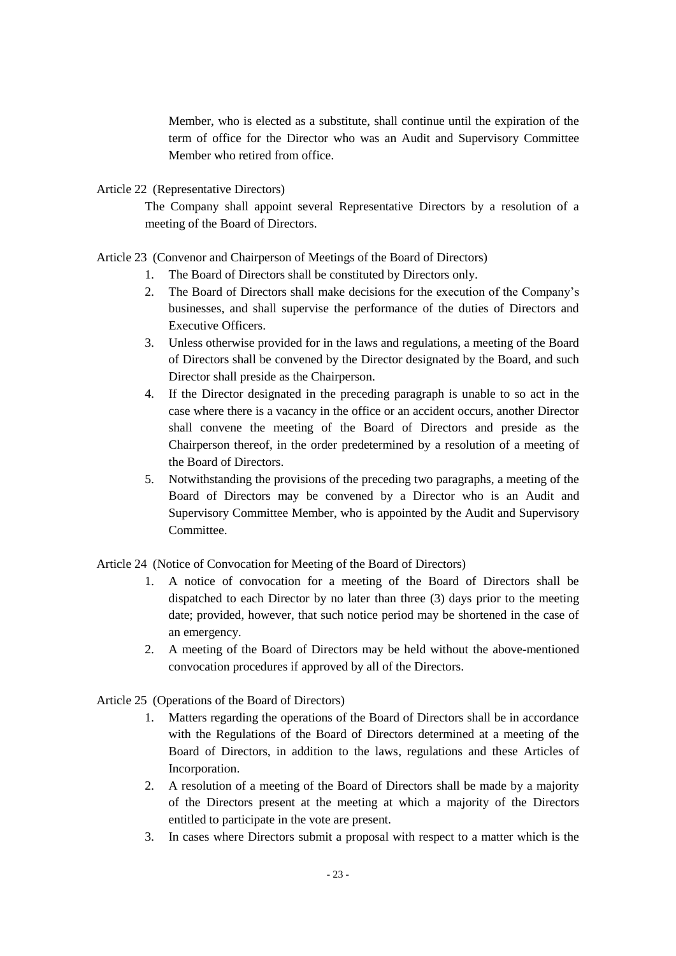Member, who is elected as a substitute, shall continue until the expiration of the term of office for the Director who was an Audit and Supervisory Committee Member who retired from office.

Article 22 (Representative Directors)

The Company shall appoint several Representative Directors by a resolution of a meeting of the Board of Directors.

# Article 23 (Convenor and Chairperson of Meetings of the Board of Directors)

- 1. The Board of Directors shall be constituted by Directors only.
- 2. The Board of Directors shall make decisions for the execution of the Company's businesses, and shall supervise the performance of the duties of Directors and Executive Officers.
- 3. Unless otherwise provided for in the laws and regulations, a meeting of the Board of Directors shall be convened by the Director designated by the Board, and such Director shall preside as the Chairperson.
- 4. If the Director designated in the preceding paragraph is unable to so act in the case where there is a vacancy in the office or an accident occurs, another Director shall convene the meeting of the Board of Directors and preside as the Chairperson thereof, in the order predetermined by a resolution of a meeting of the Board of Directors.
- 5. Notwithstanding the provisions of the preceding two paragraphs, a meeting of the Board of Directors may be convened by a Director who is an Audit and Supervisory Committee Member, who is appointed by the Audit and Supervisory Committee.

Article 24 (Notice of Convocation for Meeting of the Board of Directors)

- 1. A notice of convocation for a meeting of the Board of Directors shall be dispatched to each Director by no later than three (3) days prior to the meeting date; provided, however, that such notice period may be shortened in the case of an emergency.
- 2. A meeting of the Board of Directors may be held without the above-mentioned convocation procedures if approved by all of the Directors.

Article 25 (Operations of the Board of Directors)

- 1. Matters regarding the operations of the Board of Directors shall be in accordance with the Regulations of the Board of Directors determined at a meeting of the Board of Directors, in addition to the laws, regulations and these Articles of Incorporation.
- 2. A resolution of a meeting of the Board of Directors shall be made by a majority of the Directors present at the meeting at which a majority of the Directors entitled to participate in the vote are present.
- 3. In cases where Directors submit a proposal with respect to a matter which is the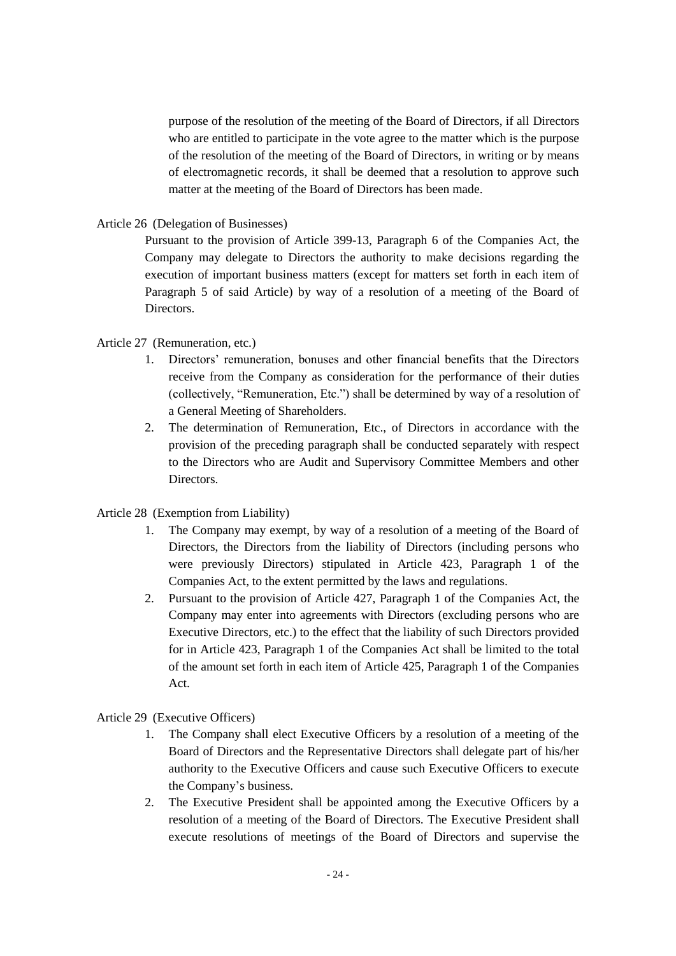purpose of the resolution of the meeting of the Board of Directors, if all Directors who are entitled to participate in the vote agree to the matter which is the purpose of the resolution of the meeting of the Board of Directors, in writing or by means of electromagnetic records, it shall be deemed that a resolution to approve such matter at the meeting of the Board of Directors has been made.

Article 26 (Delegation of Businesses)

Pursuant to the provision of Article 399-13, Paragraph 6 of the Companies Act, the Company may delegate to Directors the authority to make decisions regarding the execution of important business matters (except for matters set forth in each item of Paragraph 5 of said Article) by way of a resolution of a meeting of the Board of Directors.

# Article 27 (Remuneration, etc.)

- 1. Directors' remuneration, bonuses and other financial benefits that the Directors receive from the Company as consideration for the performance of their duties (collectively, "Remuneration, Etc.") shall be determined by way of a resolution of a General Meeting of Shareholders.
- 2. The determination of Remuneration, Etc., of Directors in accordance with the provision of the preceding paragraph shall be conducted separately with respect to the Directors who are Audit and Supervisory Committee Members and other Directors.

#### Article 28 (Exemption from Liability)

- 1. The Company may exempt, by way of a resolution of a meeting of the Board of Directors, the Directors from the liability of Directors (including persons who were previously Directors) stipulated in Article 423, Paragraph 1 of the Companies Act, to the extent permitted by the laws and regulations.
- 2. Pursuant to the provision of Article 427, Paragraph 1 of the Companies Act, the Company may enter into agreements with Directors (excluding persons who are Executive Directors, etc.) to the effect that the liability of such Directors provided for in Article 423, Paragraph 1 of the Companies Act shall be limited to the total of the amount set forth in each item of Article 425, Paragraph 1 of the Companies Act.

## Article 29 (Executive Officers)

- 1. The Company shall elect Executive Officers by a resolution of a meeting of the Board of Directors and the Representative Directors shall delegate part of his/her authority to the Executive Officers and cause such Executive Officers to execute the Company's business.
- 2. The Executive President shall be appointed among the Executive Officers by a resolution of a meeting of the Board of Directors. The Executive President shall execute resolutions of meetings of the Board of Directors and supervise the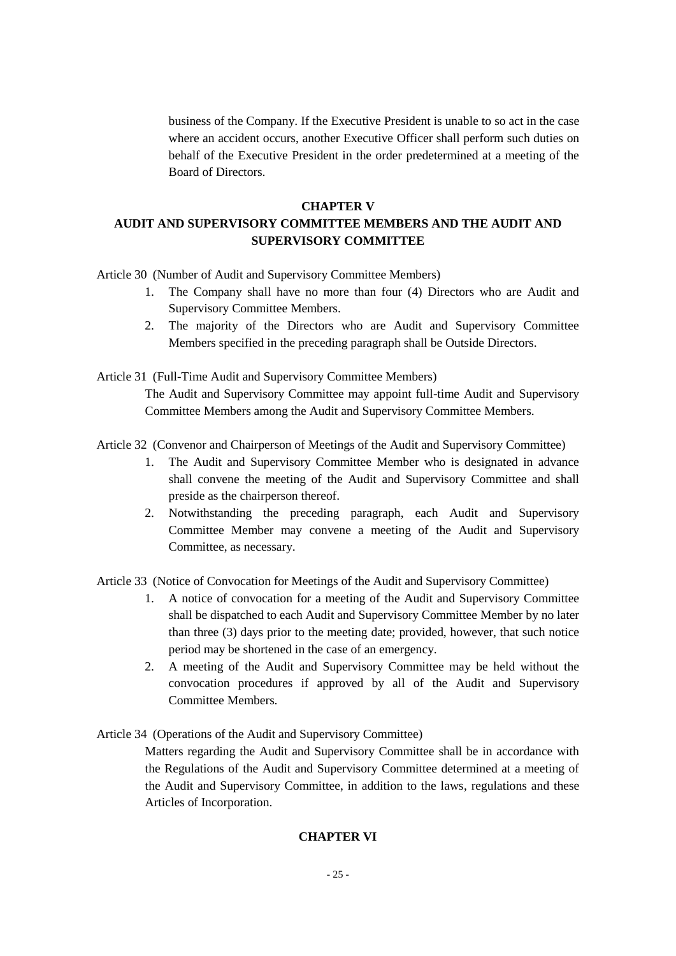business of the Company. If the Executive President is unable to so act in the case where an accident occurs, another Executive Officer shall perform such duties on behalf of the Executive President in the order predetermined at a meeting of the Board of Directors.

#### **CHAPTER V**

# **AUDIT AND SUPERVISORY COMMITTEE MEMBERS AND THE AUDIT AND SUPERVISORY COMMITTEE**

Article 30 (Number of Audit and Supervisory Committee Members)

- 1. The Company shall have no more than four (4) Directors who are Audit and Supervisory Committee Members.
- 2. The majority of the Directors who are Audit and Supervisory Committee Members specified in the preceding paragraph shall be Outside Directors.
- Article 31 (Full-Time Audit and Supervisory Committee Members) The Audit and Supervisory Committee may appoint full-time Audit and Supervisory Committee Members among the Audit and Supervisory Committee Members.
- Article 32 (Convenor and Chairperson of Meetings of the Audit and Supervisory Committee)
	- 1. The Audit and Supervisory Committee Member who is designated in advance shall convene the meeting of the Audit and Supervisory Committee and shall preside as the chairperson thereof.
	- 2. Notwithstanding the preceding paragraph, each Audit and Supervisory Committee Member may convene a meeting of the Audit and Supervisory Committee, as necessary.

Article 33 (Notice of Convocation for Meetings of the Audit and Supervisory Committee)

- 1. A notice of convocation for a meeting of the Audit and Supervisory Committee shall be dispatched to each Audit and Supervisory Committee Member by no later than three (3) days prior to the meeting date; provided, however, that such notice period may be shortened in the case of an emergency.
- 2. A meeting of the Audit and Supervisory Committee may be held without the convocation procedures if approved by all of the Audit and Supervisory Committee Members.
- Article 34 (Operations of the Audit and Supervisory Committee)

Matters regarding the Audit and Supervisory Committee shall be in accordance with the Regulations of the Audit and Supervisory Committee determined at a meeting of the Audit and Supervisory Committee, in addition to the laws, regulations and these Articles of Incorporation.

#### **CHAPTER VI**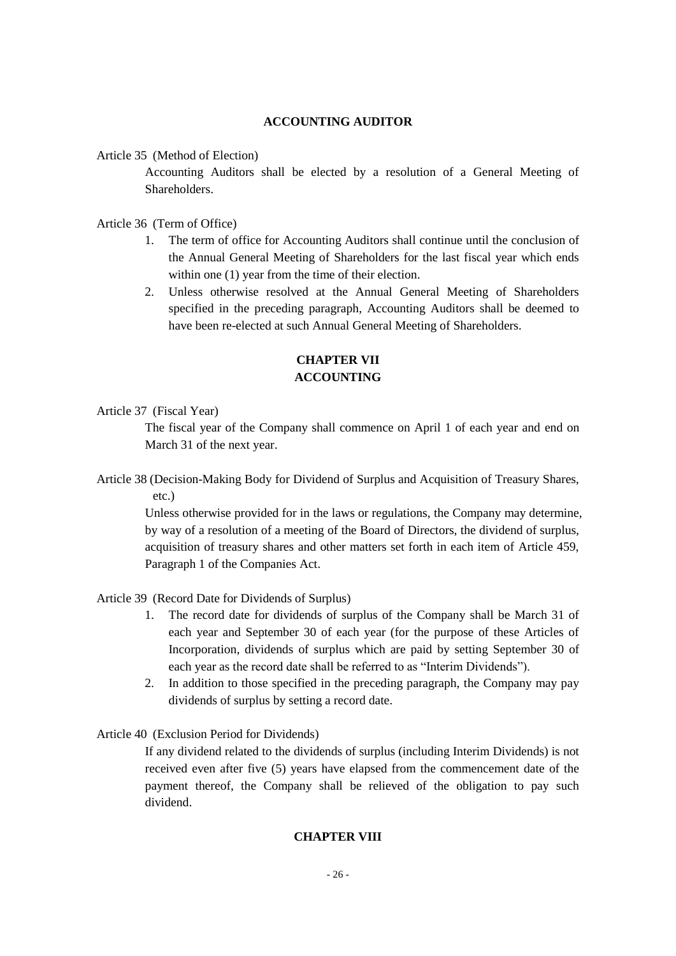#### **ACCOUNTING AUDITOR**

Article 35 (Method of Election)

Accounting Auditors shall be elected by a resolution of a General Meeting of **Shareholders** 

Article 36 (Term of Office)

- 1. The term of office for Accounting Auditors shall continue until the conclusion of the Annual General Meeting of Shareholders for the last fiscal year which ends within one (1) year from the time of their election.
- 2. Unless otherwise resolved at the Annual General Meeting of Shareholders specified in the preceding paragraph, Accounting Auditors shall be deemed to have been re-elected at such Annual General Meeting of Shareholders.

# **CHAPTER VII ACCOUNTING**

Article 37 (Fiscal Year)

The fiscal year of the Company shall commence on April 1 of each year and end on March 31 of the next year.

Article 38 (Decision-Making Body for Dividend of Surplus and Acquisition of Treasury Shares, etc.)

Unless otherwise provided for in the laws or regulations, the Company may determine, by way of a resolution of a meeting of the Board of Directors, the dividend of surplus, acquisition of treasury shares and other matters set forth in each item of Article 459, Paragraph 1 of the Companies Act.

Article 39 (Record Date for Dividends of Surplus)

- 1. The record date for dividends of surplus of the Company shall be March 31 of each year and September 30 of each year (for the purpose of these Articles of Incorporation, dividends of surplus which are paid by setting September 30 of each year as the record date shall be referred to as "Interim Dividends").
- 2. In addition to those specified in the preceding paragraph, the Company may pay dividends of surplus by setting a record date.
- Article 40 (Exclusion Period for Dividends)

If any dividend related to the dividends of surplus (including Interim Dividends) is not received even after five (5) years have elapsed from the commencement date of the payment thereof, the Company shall be relieved of the obligation to pay such dividend.

## **CHAPTER VIII**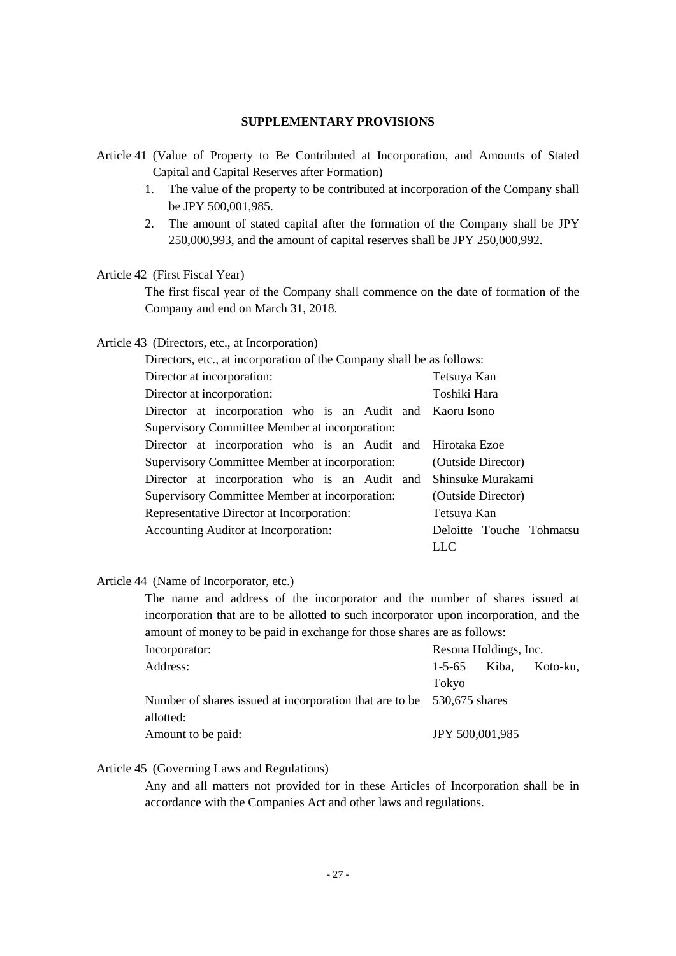#### **SUPPLEMENTARY PROVISIONS**

- Article 41 (Value of Property to Be Contributed at Incorporation, and Amounts of Stated Capital and Capital Reserves after Formation)
	- 1. The value of the property to be contributed at incorporation of the Company shall be JPY 500,001,985.
	- 2. The amount of stated capital after the formation of the Company shall be JPY 250,000,993, and the amount of capital reserves shall be JPY 250,000,992.

# Article 42 (First Fiscal Year)

The first fiscal year of the Company shall commence on the date of formation of the Company and end on March 31, 2018.

## Article 43 (Directors, etc., at Incorporation)

| Directors, etc., at incorporation of the Company shall be as follows: |                          |  |  |  |
|-----------------------------------------------------------------------|--------------------------|--|--|--|
| Director at incorporation:<br>Tetsuya Kan                             |                          |  |  |  |
| Director at incorporation:                                            | Toshiki Hara             |  |  |  |
| Director at incorporation who is an Audit and Kaoru Isono             |                          |  |  |  |
| Supervisory Committee Member at incorporation:                        |                          |  |  |  |
| Director at incorporation who is an Audit and Hirotaka Ezoe           |                          |  |  |  |
| Supervisory Committee Member at incorporation:                        | (Outside Director)       |  |  |  |
| Director at incorporation who is an Audit and                         | Shinsuke Murakami        |  |  |  |
| Supervisory Committee Member at incorporation:                        | (Outside Director)       |  |  |  |
| Representative Director at Incorporation:                             | Tetsuya Kan              |  |  |  |
| Accounting Auditor at Incorporation:                                  | Deloitte Touche Tohmatsu |  |  |  |
|                                                                       | LLC                      |  |  |  |

# Article 44 (Name of Incorporator, etc.)

| The name and address of the incorporator and the number of shares issued at            |                                   |  |  |  |
|----------------------------------------------------------------------------------------|-----------------------------------|--|--|--|
| incorporation that are to be allotted to such incorporator upon incorporation, and the |                                   |  |  |  |
| amount of money to be paid in exchange for those shares are as follows:                |                                   |  |  |  |
| Incorporator:                                                                          | Resona Holdings, Inc.             |  |  |  |
| Address:                                                                               | $1 - 5 - 65$<br>Kiba.<br>Koto-ku. |  |  |  |
|                                                                                        | Tokyo                             |  |  |  |
| Number of shares issued at incorporation that are to be                                | 530,675 shares                    |  |  |  |
| allotted:                                                                              |                                   |  |  |  |
| Amount to be paid:                                                                     | JPY 500,001,985                   |  |  |  |

# Article 45 (Governing Laws and Regulations)

Any and all matters not provided for in these Articles of Incorporation shall be in accordance with the Companies Act and other laws and regulations.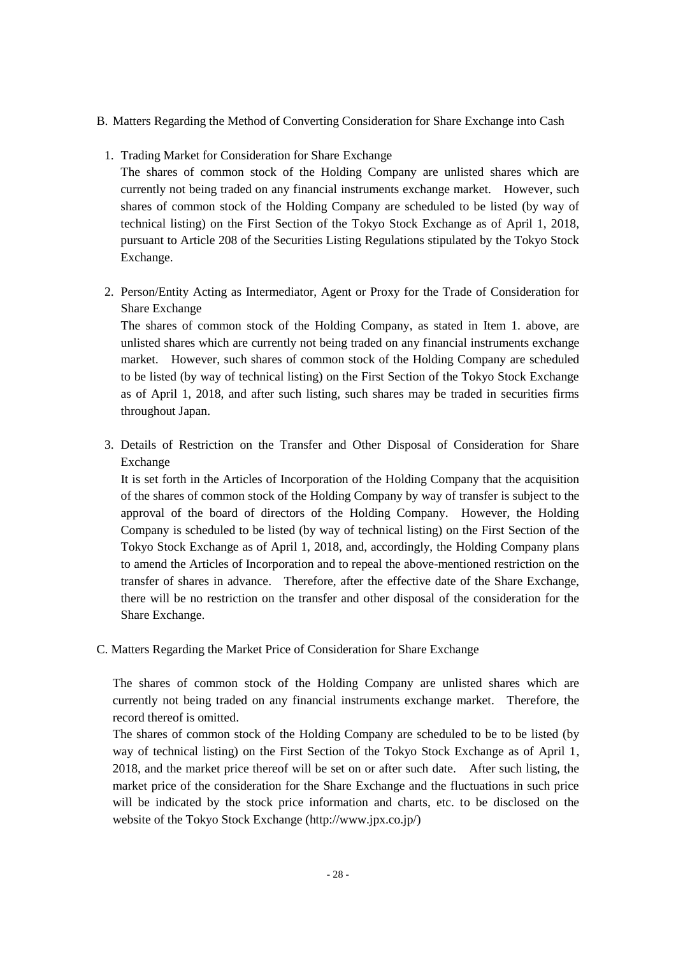- B. Matters Regarding the Method of Converting Consideration for Share Exchange into Cash
- 1. Trading Market for Consideration for Share Exchange

The shares of common stock of the Holding Company are unlisted shares which are currently not being traded on any financial instruments exchange market. However, such shares of common stock of the Holding Company are scheduled to be listed (by way of technical listing) on the First Section of the Tokyo Stock Exchange as of April 1, 2018, pursuant to Article 208 of the Securities Listing Regulations stipulated by the Tokyo Stock Exchange.

2. Person/Entity Acting as Intermediator, Agent or Proxy for the Trade of Consideration for Share Exchange

The shares of common stock of the Holding Company, as stated in Item 1. above, are unlisted shares which are currently not being traded on any financial instruments exchange market. However, such shares of common stock of the Holding Company are scheduled to be listed (by way of technical listing) on the First Section of the Tokyo Stock Exchange as of April 1, 2018, and after such listing, such shares may be traded in securities firms throughout Japan.

3. Details of Restriction on the Transfer and Other Disposal of Consideration for Share Exchange

It is set forth in the Articles of Incorporation of the Holding Company that the acquisition of the shares of common stock of the Holding Company by way of transfer is subject to the approval of the board of directors of the Holding Company. However, the Holding Company is scheduled to be listed (by way of technical listing) on the First Section of the Tokyo Stock Exchange as of April 1, 2018, and, accordingly, the Holding Company plans to amend the Articles of Incorporation and to repeal the above-mentioned restriction on the transfer of shares in advance. Therefore, after the effective date of the Share Exchange, there will be no restriction on the transfer and other disposal of the consideration for the Share Exchange.

C. Matters Regarding the Market Price of Consideration for Share Exchange

The shares of common stock of the Holding Company are unlisted shares which are currently not being traded on any financial instruments exchange market. Therefore, the record thereof is omitted.

The shares of common stock of the Holding Company are scheduled to be to be listed (by way of technical listing) on the First Section of the Tokyo Stock Exchange as of April 1, 2018, and the market price thereof will be set on or after such date. After such listing, the market price of the consideration for the Share Exchange and the fluctuations in such price will be indicated by the stock price information and charts, etc. to be disclosed on the website of the Tokyo Stock Exchange (http://www.jpx.co.jp/)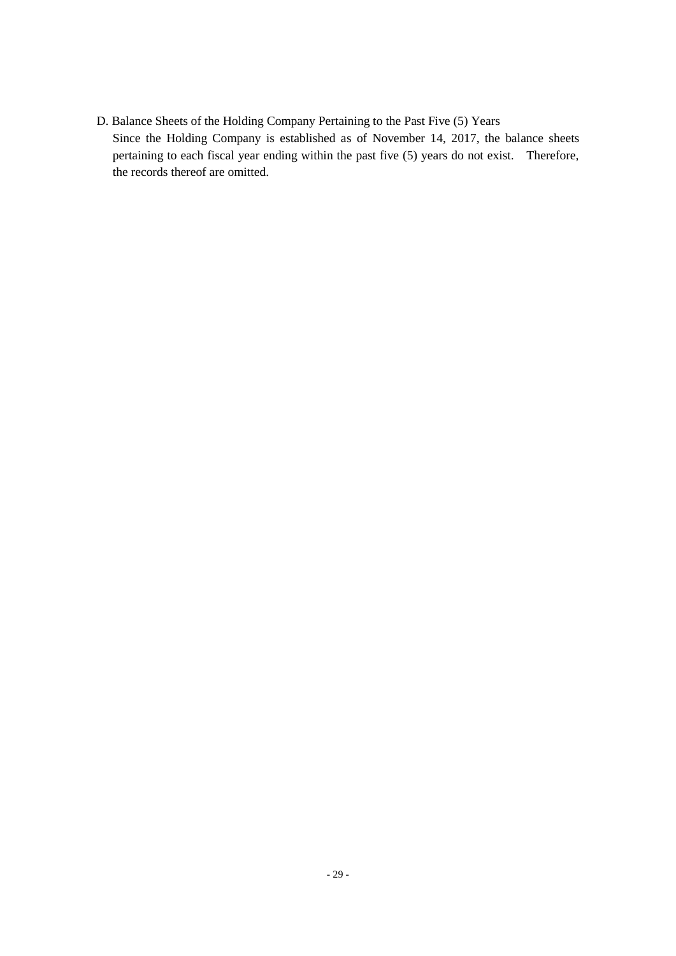D. Balance Sheets of the Holding Company Pertaining to the Past Five (5) Years Since the Holding Company is established as of November 14, 2017, the balance sheets pertaining to each fiscal year ending within the past five (5) years do not exist. Therefore, the records thereof are omitted.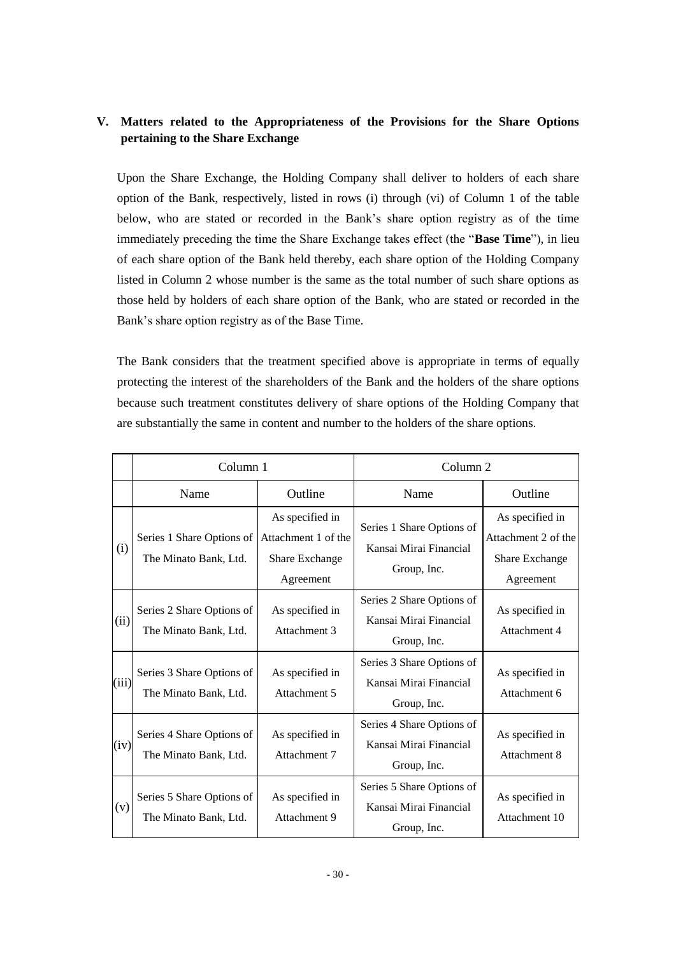# **V. Matters related to the Appropriateness of the Provisions for the Share Options pertaining to the Share Exchange**

Upon the Share Exchange, the Holding Company shall deliver to holders of each share option of the Bank, respectively, listed in rows (i) through (vi) of Column 1 of the table below, who are stated or recorded in the Bank's share option registry as of the time immediately preceding the time the Share Exchange takes effect (the "**Base Time**"), in lieu of each share option of the Bank held thereby, each share option of the Holding Company listed in Column 2 whose number is the same as the total number of such share options as those held by holders of each share option of the Bank, who are stated or recorded in the Bank's share option registry as of the Base Time.

The Bank considers that the treatment specified above is appropriate in terms of equally protecting the interest of the shareholders of the Bank and the holders of the share options because such treatment constitutes delivery of share options of the Holding Company that are substantially the same in content and number to the holders of the share options.

|       | Column 1                                           |                                                                       | Column <sub>2</sub>                                                |                                                                       |
|-------|----------------------------------------------------|-----------------------------------------------------------------------|--------------------------------------------------------------------|-----------------------------------------------------------------------|
|       | Name                                               | Outline                                                               | Name                                                               | Outline                                                               |
| (i)   | Series 1 Share Options of<br>The Minato Bank, Ltd. | As specified in<br>Attachment 1 of the<br>Share Exchange<br>Agreement | Series 1 Share Options of<br>Kansai Mirai Financial<br>Group, Inc. | As specified in<br>Attachment 2 of the<br>Share Exchange<br>Agreement |
| (ii)  | Series 2 Share Options of<br>The Minato Bank, Ltd. | As specified in<br>Attachment 3                                       | Series 2 Share Options of<br>Kansai Mirai Financial<br>Group, Inc. | As specified in<br>Attachment 4                                       |
| (iii) | Series 3 Share Options of<br>The Minato Bank, Ltd. | As specified in<br>Attachment 5                                       | Series 3 Share Options of<br>Kansai Mirai Financial<br>Group, Inc. | As specified in<br>Attachment 6                                       |
| (iv)  | Series 4 Share Options of<br>The Minato Bank, Ltd. | As specified in<br>Attachment 7                                       | Series 4 Share Options of<br>Kansai Mirai Financial<br>Group, Inc. | As specified in<br>Attachment 8                                       |
| (v)   | Series 5 Share Options of<br>The Minato Bank, Ltd. | As specified in<br>Attachment 9                                       | Series 5 Share Options of<br>Kansai Mirai Financial<br>Group, Inc. | As specified in<br>Attachment 10                                      |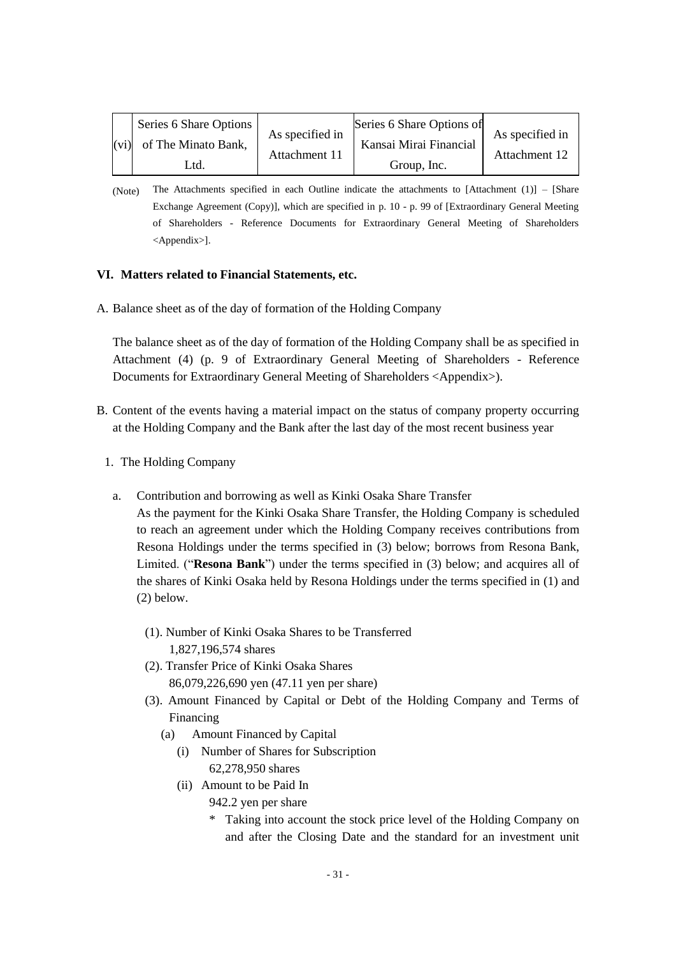| (vi) | Series 6 Share Options<br>of The Minato Bank,<br>Utd. | As specified in<br>Attachment 11 | Series 6 Share Options of<br>Kansai Mirai Financial<br>Group, Inc. | As specified in<br>Attachment 12 |
|------|-------------------------------------------------------|----------------------------------|--------------------------------------------------------------------|----------------------------------|
|------|-------------------------------------------------------|----------------------------------|--------------------------------------------------------------------|----------------------------------|

<sup>(</sup>Note) The Attachments specified in each Outline indicate the attachments to [Attachment (1)] – [Share Exchange Agreement (Copy)], which are specified in p. 10 - p. 99 of [Extraordinary General Meeting of Shareholders - Reference Documents for Extraordinary General Meeting of Shareholders <Appendix>].

## **VI. Matters related to Financial Statements, etc.**

A. Balance sheet as of the day of formation of the Holding Company

The balance sheet as of the day of formation of the Holding Company shall be as specified in Attachment (4) (p. 9 of Extraordinary General Meeting of Shareholders - Reference Documents for Extraordinary General Meeting of Shareholders <Appendix>).

- B. Content of the events having a material impact on the status of company property occurring at the Holding Company and the Bank after the last day of the most recent business year
	- 1. The Holding Company
	- a. Contribution and borrowing as well as Kinki Osaka Share Transfer

As the payment for the Kinki Osaka Share Transfer, the Holding Company is scheduled to reach an agreement under which the Holding Company receives contributions from Resona Holdings under the terms specified in (3) below; borrows from Resona Bank, Limited. ("**Resona Bank**") under the terms specified in (3) below; and acquires all of the shares of Kinki Osaka held by Resona Holdings under the terms specified in (1) and (2) below.

- (1). Number of Kinki Osaka Shares to be Transferred 1,827,196,574 shares
- (2). Transfer Price of Kinki Osaka Shares 86,079,226,690 yen (47.11 yen per share)
- (3). Amount Financed by Capital or Debt of the Holding Company and Terms of Financing
	- (a) Amount Financed by Capital
		- (i) Number of Shares for Subscription 62,278,950 shares
		- (ii) Amount to be Paid In
			- 942.2 yen per share
			- \* Taking into account the stock price level of the Holding Company on and after the Closing Date and the standard for an investment unit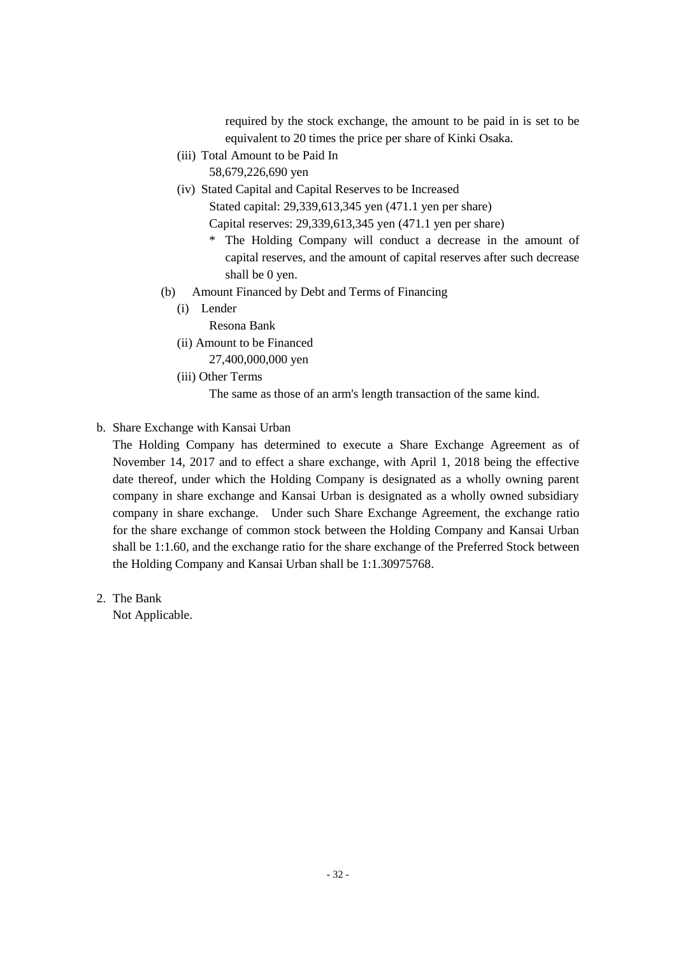required by the stock exchange, the amount to be paid in is set to be equivalent to 20 times the price per share of Kinki Osaka.

- (iii) Total Amount to be Paid In 58,679,226,690 yen
- (iv) Stated Capital and Capital Reserves to be Increased

Stated capital: 29,339,613,345 yen (471.1 yen per share)

Capital reserves: 29,339,613,345 yen (471.1 yen per share)

- \* The Holding Company will conduct a decrease in the amount of capital reserves, and the amount of capital reserves after such decrease shall be 0 yen.
- (b) Amount Financed by Debt and Terms of Financing
	- (i) Lender

Resona Bank

(ii) Amount to be Financed

27,400,000,000 yen

(iii) Other Terms

The same as those of an arm's length transaction of the same kind.

# b. Share Exchange with Kansai Urban

The Holding Company has determined to execute a Share Exchange Agreement as of November 14, 2017 and to effect a share exchange, with April 1, 2018 being the effective date thereof, under which the Holding Company is designated as a wholly owning parent company in share exchange and Kansai Urban is designated as a wholly owned subsidiary company in share exchange. Under such Share Exchange Agreement, the exchange ratio for the share exchange of common stock between the Holding Company and Kansai Urban shall be 1:1.60, and the exchange ratio for the share exchange of the Preferred Stock between the Holding Company and Kansai Urban shall be 1:1.30975768.

2. The Bank

Not Applicable.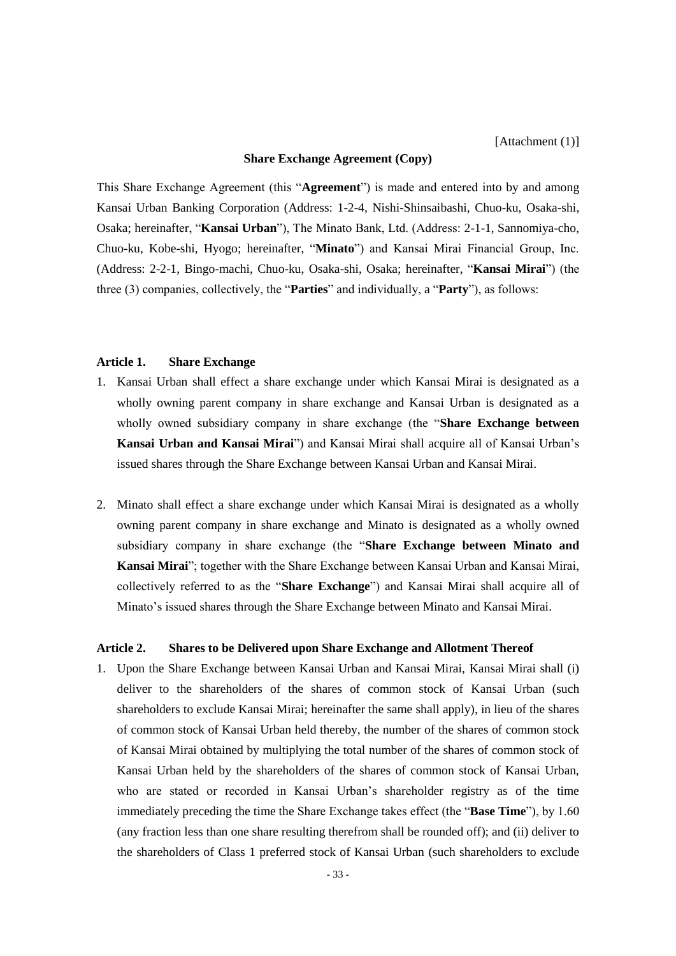#### **Share Exchange Agreement (Copy)**

This Share Exchange Agreement (this "**Agreement**") is made and entered into by and among Kansai Urban Banking Corporation (Address: 1-2-4, Nishi-Shinsaibashi, Chuo-ku, Osaka-shi, Osaka; hereinafter, "**Kansai Urban**"), The Minato Bank, Ltd. (Address: 2-1-1, Sannomiya-cho, Chuo-ku, Kobe-shi, Hyogo; hereinafter, "**Minato**") and Kansai Mirai Financial Group, Inc. (Address: 2-2-1, Bingo-machi, Chuo-ku, Osaka-shi, Osaka; hereinafter, "**Kansai Mirai**") (the three (3) companies, collectively, the "**Parties**" and individually, a "**Party**"), as follows:

#### **Article 1. Share Exchange**

- 1. Kansai Urban shall effect a share exchange under which Kansai Mirai is designated as a wholly owning parent company in share exchange and Kansai Urban is designated as a wholly owned subsidiary company in share exchange (the "**Share Exchange between Kansai Urban and Kansai Mirai**") and Kansai Mirai shall acquire all of Kansai Urban's issued shares through the Share Exchange between Kansai Urban and Kansai Mirai.
- 2. Minato shall effect a share exchange under which Kansai Mirai is designated as a wholly owning parent company in share exchange and Minato is designated as a wholly owned subsidiary company in share exchange (the "**Share Exchange between Minato and Kansai Mirai**"; together with the Share Exchange between Kansai Urban and Kansai Mirai, collectively referred to as the "**Share Exchange**") and Kansai Mirai shall acquire all of Minato's issued shares through the Share Exchange between Minato and Kansai Mirai.

# **Article 2. Shares to be Delivered upon Share Exchange and Allotment Thereof**

1. Upon the Share Exchange between Kansai Urban and Kansai Mirai, Kansai Mirai shall (i) deliver to the shareholders of the shares of common stock of Kansai Urban (such shareholders to exclude Kansai Mirai; hereinafter the same shall apply), in lieu of the shares of common stock of Kansai Urban held thereby, the number of the shares of common stock of Kansai Mirai obtained by multiplying the total number of the shares of common stock of Kansai Urban held by the shareholders of the shares of common stock of Kansai Urban, who are stated or recorded in Kansai Urban's shareholder registry as of the time immediately preceding the time the Share Exchange takes effect (the "**Base Time**"), by 1.60 (any fraction less than one share resulting therefrom shall be rounded off); and (ii) deliver to the shareholders of Class 1 preferred stock of Kansai Urban (such shareholders to exclude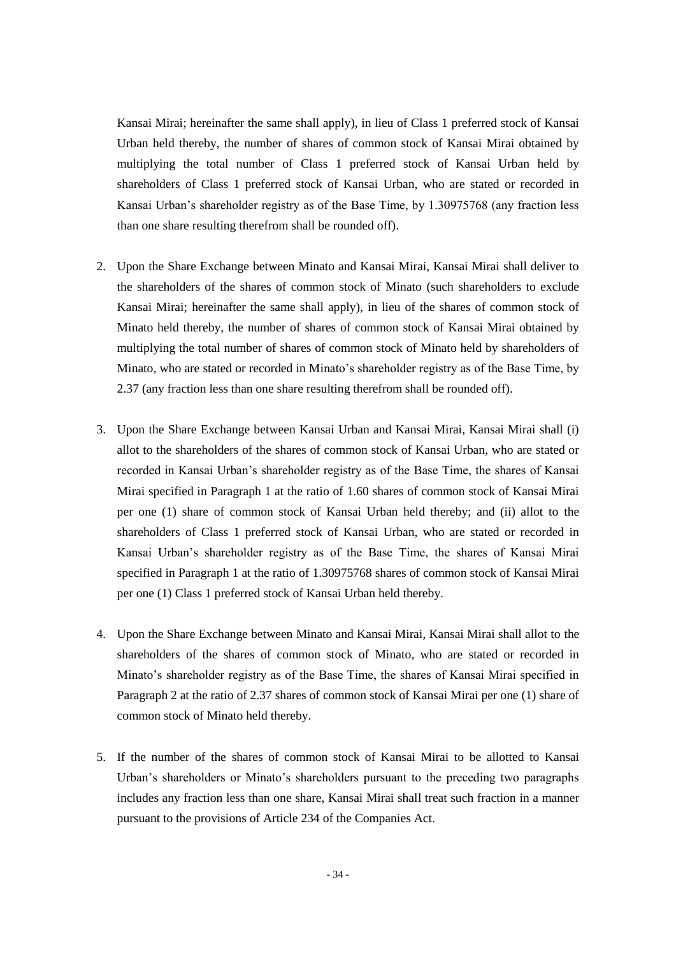Kansai Mirai; hereinafter the same shall apply), in lieu of Class 1 preferred stock of Kansai Urban held thereby, the number of shares of common stock of Kansai Mirai obtained by multiplying the total number of Class 1 preferred stock of Kansai Urban held by shareholders of Class 1 preferred stock of Kansai Urban, who are stated or recorded in Kansai Urban's shareholder registry as of the Base Time, by 1.30975768 (any fraction less than one share resulting therefrom shall be rounded off).

- 2. Upon the Share Exchange between Minato and Kansai Mirai, Kansai Mirai shall deliver to the shareholders of the shares of common stock of Minato (such shareholders to exclude Kansai Mirai; hereinafter the same shall apply), in lieu of the shares of common stock of Minato held thereby, the number of shares of common stock of Kansai Mirai obtained by multiplying the total number of shares of common stock of Minato held by shareholders of Minato, who are stated or recorded in Minato's shareholder registry as of the Base Time, by 2.37 (any fraction less than one share resulting therefrom shall be rounded off).
- 3. Upon the Share Exchange between Kansai Urban and Kansai Mirai, Kansai Mirai shall (i) allot to the shareholders of the shares of common stock of Kansai Urban, who are stated or recorded in Kansai Urban's shareholder registry as of the Base Time, the shares of Kansai Mirai specified in Paragraph 1 at the ratio of 1.60 shares of common stock of Kansai Mirai per one (1) share of common stock of Kansai Urban held thereby; and (ii) allot to the shareholders of Class 1 preferred stock of Kansai Urban, who are stated or recorded in Kansai Urban's shareholder registry as of the Base Time, the shares of Kansai Mirai specified in Paragraph 1 at the ratio of 1.30975768 shares of common stock of Kansai Mirai per one (1) Class 1 preferred stock of Kansai Urban held thereby.
- 4. Upon the Share Exchange between Minato and Kansai Mirai, Kansai Mirai shall allot to the shareholders of the shares of common stock of Minato, who are stated or recorded in Minato's shareholder registry as of the Base Time, the shares of Kansai Mirai specified in Paragraph 2 at the ratio of 2.37 shares of common stock of Kansai Mirai per one (1) share of common stock of Minato held thereby.
- 5. If the number of the shares of common stock of Kansai Mirai to be allotted to Kansai Urban's shareholders or Minato's shareholders pursuant to the preceding two paragraphs includes any fraction less than one share, Kansai Mirai shall treat such fraction in a manner pursuant to the provisions of Article 234 of the Companies Act.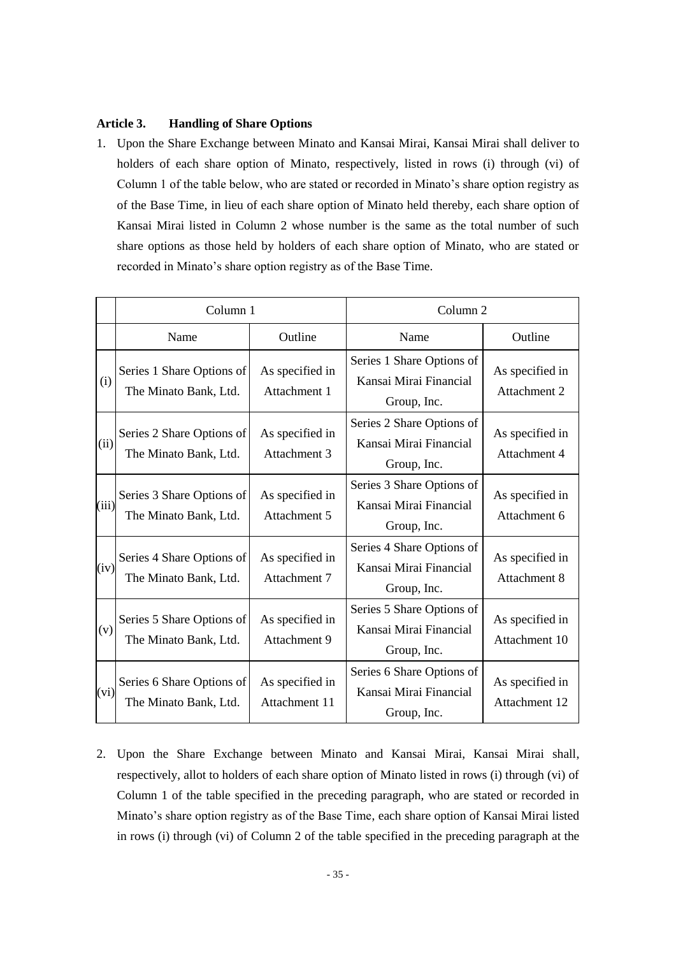## **Article 3. Handling of Share Options**

1. Upon the Share Exchange between Minato and Kansai Mirai, Kansai Mirai shall deliver to holders of each share option of Minato, respectively, listed in rows (i) through (vi) of Column 1 of the table below, who are stated or recorded in Minato's share option registry as of the Base Time, in lieu of each share option of Minato held thereby, each share option of Kansai Mirai listed in Column 2 whose number is the same as the total number of such share options as those held by holders of each share option of Minato, who are stated or recorded in Minato's share option registry as of the Base Time.

|       | Column 1                                           |                                  | Column <sub>2</sub>                                                |                                  |
|-------|----------------------------------------------------|----------------------------------|--------------------------------------------------------------------|----------------------------------|
|       | Name                                               | Outline                          | Name                                                               | Outline                          |
| (i)   | Series 1 Share Options of<br>The Minato Bank, Ltd. | As specified in<br>Attachment 1  | Series 1 Share Options of<br>Kansai Mirai Financial<br>Group, Inc. | As specified in<br>Attachment 2  |
| (ii)  | Series 2 Share Options of<br>The Minato Bank, Ltd. | As specified in<br>Attachment 3  | Series 2 Share Options of<br>Kansai Mirai Financial<br>Group, Inc. | As specified in<br>Attachment 4  |
| (iii) | Series 3 Share Options of<br>The Minato Bank, Ltd. | As specified in<br>Attachment 5  | Series 3 Share Options of<br>Kansai Mirai Financial<br>Group, Inc. | As specified in<br>Attachment 6  |
| (iv)  | Series 4 Share Options of<br>The Minato Bank, Ltd. | As specified in<br>Attachment 7  | Series 4 Share Options of<br>Kansai Mirai Financial<br>Group, Inc. | As specified in<br>Attachment 8  |
| (v)   | Series 5 Share Options of<br>The Minato Bank, Ltd. | As specified in<br>Attachment 9  | Series 5 Share Options of<br>Kansai Mirai Financial<br>Group, Inc. | As specified in<br>Attachment 10 |
| (vi)  | Series 6 Share Options of<br>The Minato Bank, Ltd. | As specified in<br>Attachment 11 | Series 6 Share Options of<br>Kansai Mirai Financial<br>Group, Inc. | As specified in<br>Attachment 12 |

2. Upon the Share Exchange between Minato and Kansai Mirai, Kansai Mirai shall, respectively, allot to holders of each share option of Minato listed in rows (i) through (vi) of Column 1 of the table specified in the preceding paragraph, who are stated or recorded in Minato's share option registry as of the Base Time, each share option of Kansai Mirai listed in rows (i) through (vi) of Column 2 of the table specified in the preceding paragraph at the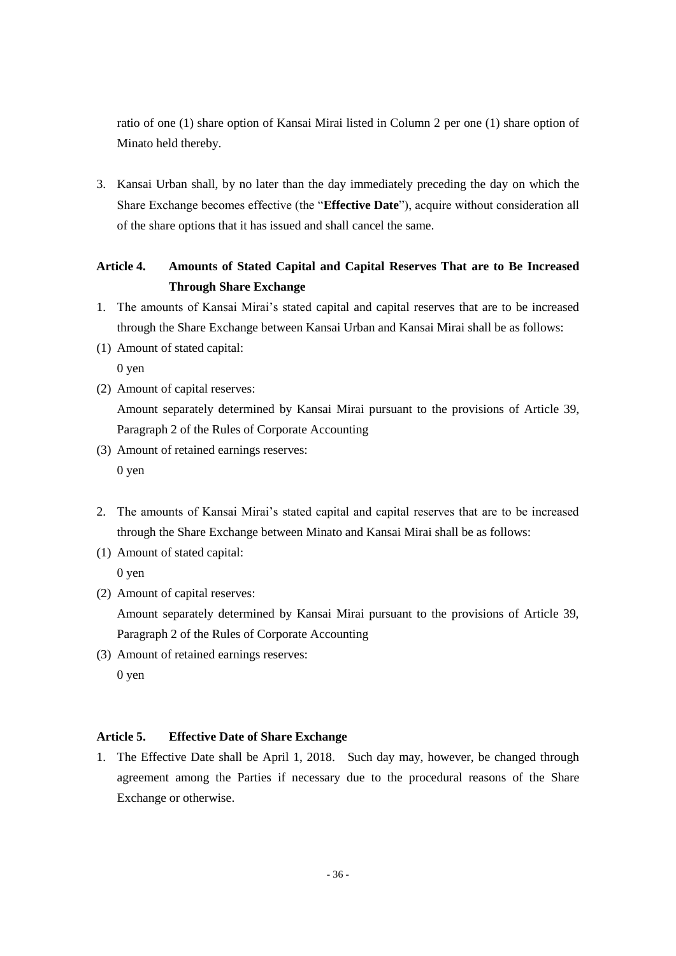ratio of one (1) share option of Kansai Mirai listed in Column 2 per one (1) share option of Minato held thereby.

3. Kansai Urban shall, by no later than the day immediately preceding the day on which the Share Exchange becomes effective (the "**Effective Date**"), acquire without consideration all of the share options that it has issued and shall cancel the same.

# **Article 4. Amounts of Stated Capital and Capital Reserves That are to Be Increased Through Share Exchange**

- 1. The amounts of Kansai Mirai's stated capital and capital reserves that are to be increased through the Share Exchange between Kansai Urban and Kansai Mirai shall be as follows:
- (1) Amount of stated capital:

0 yen

- (2) Amount of capital reserves: Amount separately determined by Kansai Mirai pursuant to the provisions of Article 39, Paragraph 2 of the Rules of Corporate Accounting
- (3) Amount of retained earnings reserves: 0 yen
- 2. The amounts of Kansai Mirai's stated capital and capital reserves that are to be increased through the Share Exchange between Minato and Kansai Mirai shall be as follows:
- (1) Amount of stated capital:

0 yen

(2) Amount of capital reserves:

Amount separately determined by Kansai Mirai pursuant to the provisions of Article 39, Paragraph 2 of the Rules of Corporate Accounting

(3) Amount of retained earnings reserves: 0 yen

# **Article 5. Effective Date of Share Exchange**

1. The Effective Date shall be April 1, 2018. Such day may, however, be changed through agreement among the Parties if necessary due to the procedural reasons of the Share Exchange or otherwise.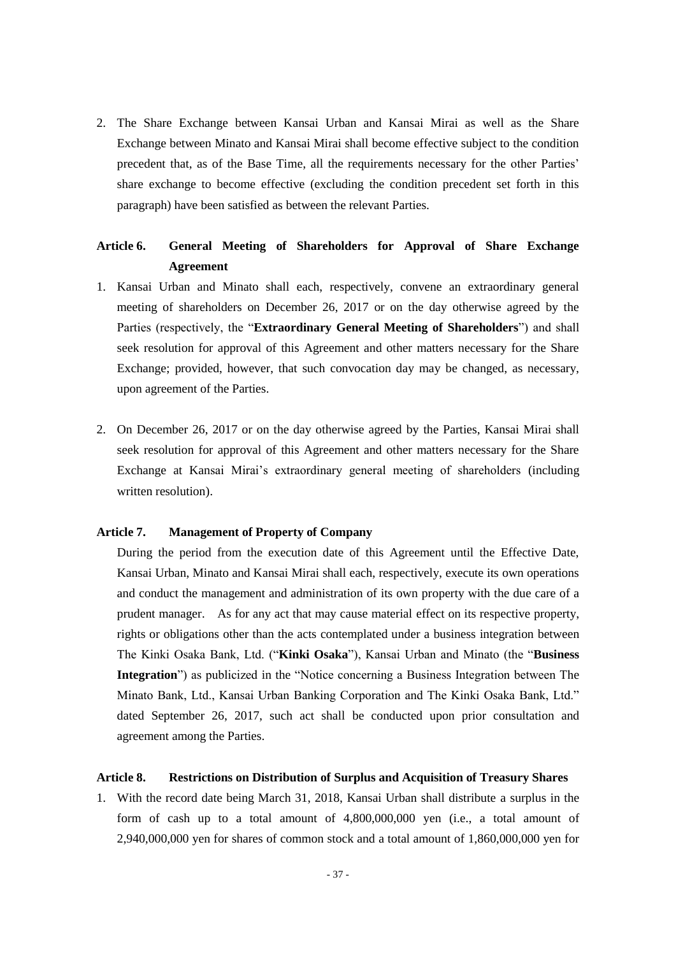2. The Share Exchange between Kansai Urban and Kansai Mirai as well as the Share Exchange between Minato and Kansai Mirai shall become effective subject to the condition precedent that, as of the Base Time, all the requirements necessary for the other Parties' share exchange to become effective (excluding the condition precedent set forth in this paragraph) have been satisfied as between the relevant Parties.

# **Article 6. General Meeting of Shareholders for Approval of Share Exchange Agreement**

- 1. Kansai Urban and Minato shall each, respectively, convene an extraordinary general meeting of shareholders on December 26, 2017 or on the day otherwise agreed by the Parties (respectively, the "**Extraordinary General Meeting of Shareholders**") and shall seek resolution for approval of this Agreement and other matters necessary for the Share Exchange; provided, however, that such convocation day may be changed, as necessary, upon agreement of the Parties.
- 2. On December 26, 2017 or on the day otherwise agreed by the Parties, Kansai Mirai shall seek resolution for approval of this Agreement and other matters necessary for the Share Exchange at Kansai Mirai's extraordinary general meeting of shareholders (including written resolution).

#### **Article 7. Management of Property of Company**

During the period from the execution date of this Agreement until the Effective Date, Kansai Urban, Minato and Kansai Mirai shall each, respectively, execute its own operations and conduct the management and administration of its own property with the due care of a prudent manager. As for any act that may cause material effect on its respective property, rights or obligations other than the acts contemplated under a business integration between The Kinki Osaka Bank, Ltd. ("**Kinki Osaka**"), Kansai Urban and Minato (the "**Business Integration**") as publicized in the "Notice concerning a Business Integration between The Minato Bank, Ltd., Kansai Urban Banking Corporation and The Kinki Osaka Bank, Ltd." dated September 26, 2017, such act shall be conducted upon prior consultation and agreement among the Parties.

#### **Article 8. Restrictions on Distribution of Surplus and Acquisition of Treasury Shares**

1. With the record date being March 31, 2018, Kansai Urban shall distribute a surplus in the form of cash up to a total amount of 4,800,000,000 yen (i.e., a total amount of 2,940,000,000 yen for shares of common stock and a total amount of 1,860,000,000 yen for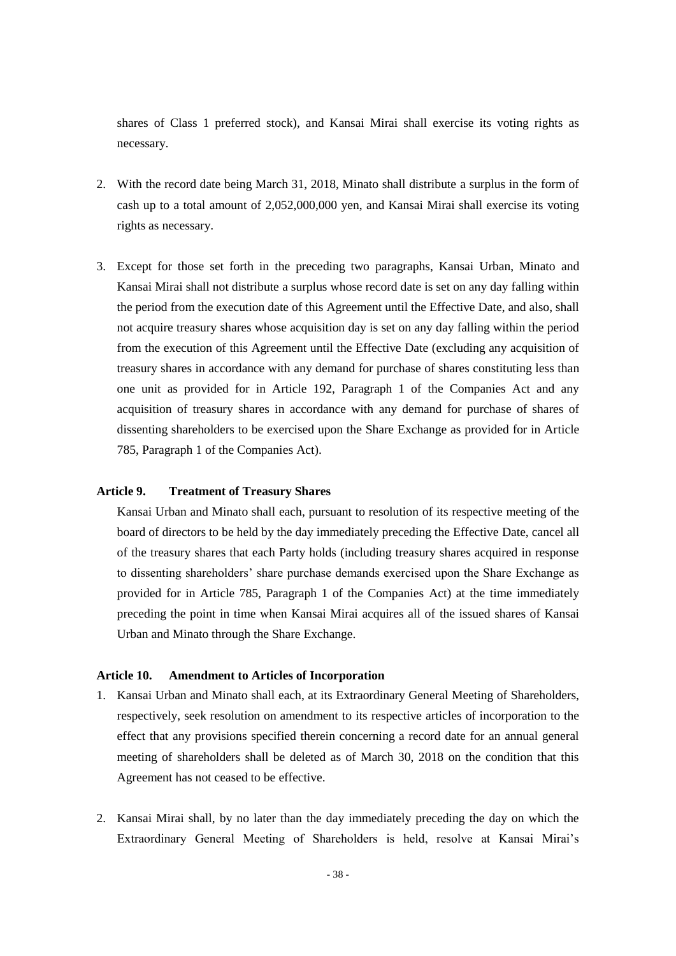shares of Class 1 preferred stock), and Kansai Mirai shall exercise its voting rights as necessary.

- 2. With the record date being March 31, 2018, Minato shall distribute a surplus in the form of cash up to a total amount of 2,052,000,000 yen, and Kansai Mirai shall exercise its voting rights as necessary.
- 3. Except for those set forth in the preceding two paragraphs, Kansai Urban, Minato and Kansai Mirai shall not distribute a surplus whose record date is set on any day falling within the period from the execution date of this Agreement until the Effective Date, and also, shall not acquire treasury shares whose acquisition day is set on any day falling within the period from the execution of this Agreement until the Effective Date (excluding any acquisition of treasury shares in accordance with any demand for purchase of shares constituting less than one unit as provided for in Article 192, Paragraph 1 of the Companies Act and any acquisition of treasury shares in accordance with any demand for purchase of shares of dissenting shareholders to be exercised upon the Share Exchange as provided for in Article 785, Paragraph 1 of the Companies Act).

#### **Article 9. Treatment of Treasury Shares**

Kansai Urban and Minato shall each, pursuant to resolution of its respective meeting of the board of directors to be held by the day immediately preceding the Effective Date, cancel all of the treasury shares that each Party holds (including treasury shares acquired in response to dissenting shareholders' share purchase demands exercised upon the Share Exchange as provided for in Article 785, Paragraph 1 of the Companies Act) at the time immediately preceding the point in time when Kansai Mirai acquires all of the issued shares of Kansai Urban and Minato through the Share Exchange.

#### **Article 10. Amendment to Articles of Incorporation**

- 1. Kansai Urban and Minato shall each, at its Extraordinary General Meeting of Shareholders, respectively, seek resolution on amendment to its respective articles of incorporation to the effect that any provisions specified therein concerning a record date for an annual general meeting of shareholders shall be deleted as of March 30, 2018 on the condition that this Agreement has not ceased to be effective.
- 2. Kansai Mirai shall, by no later than the day immediately preceding the day on which the Extraordinary General Meeting of Shareholders is held, resolve at Kansai Mirai's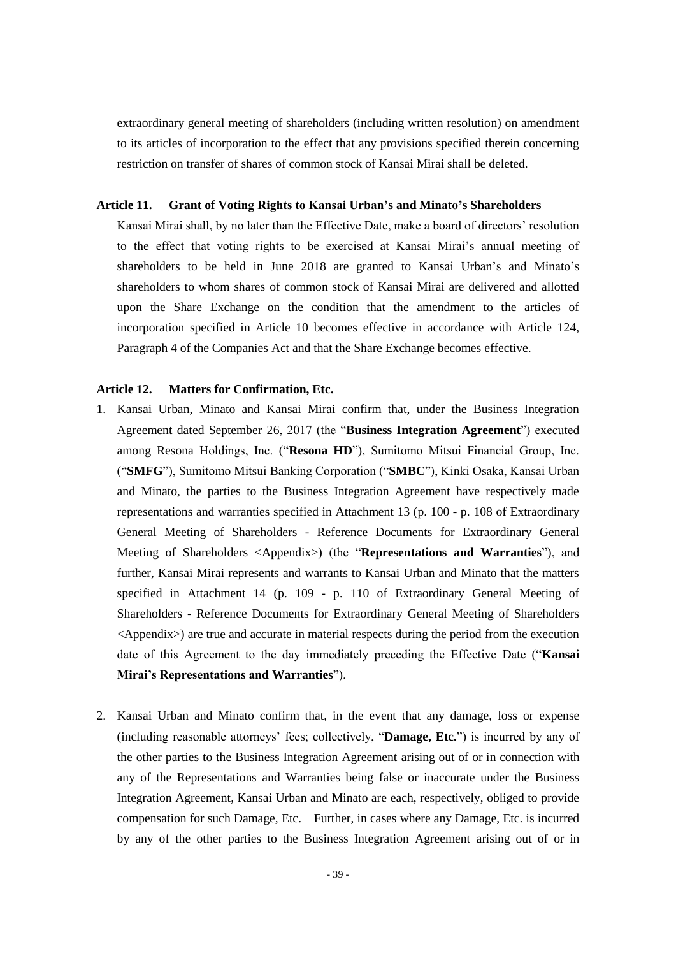extraordinary general meeting of shareholders (including written resolution) on amendment to its articles of incorporation to the effect that any provisions specified therein concerning restriction on transfer of shares of common stock of Kansai Mirai shall be deleted.

#### **Article 11. Grant of Voting Rights to Kansai Urban's and Minato's Shareholders**

Kansai Mirai shall, by no later than the Effective Date, make a board of directors' resolution to the effect that voting rights to be exercised at Kansai Mirai's annual meeting of shareholders to be held in June 2018 are granted to Kansai Urban's and Minato's shareholders to whom shares of common stock of Kansai Mirai are delivered and allotted upon the Share Exchange on the condition that the amendment to the articles of incorporation specified in Article 10 becomes effective in accordance with Article 124, Paragraph 4 of the Companies Act and that the Share Exchange becomes effective.

#### **Article 12. Matters for Confirmation, Etc.**

- 1. Kansai Urban, Minato and Kansai Mirai confirm that, under the Business Integration Agreement dated September 26, 2017 (the "**Business Integration Agreement**") executed among Resona Holdings, Inc. ("**Resona HD**"), Sumitomo Mitsui Financial Group, Inc. ("**SMFG**"), Sumitomo Mitsui Banking Corporation ("**SMBC**"), Kinki Osaka, Kansai Urban and Minato, the parties to the Business Integration Agreement have respectively made representations and warranties specified in Attachment 13 (p. 100 - p. 108 of Extraordinary General Meeting of Shareholders - Reference Documents for Extraordinary General Meeting of Shareholders <Appendix>) (the "**Representations and Warranties**"), and further, Kansai Mirai represents and warrants to Kansai Urban and Minato that the matters specified in Attachment 14 (p. 109 - p. 110 of Extraordinary General Meeting of Shareholders - Reference Documents for Extraordinary General Meeting of Shareholders <Appendix>) are true and accurate in material respects during the period from the execution date of this Agreement to the day immediately preceding the Effective Date ("**Kansai Mirai's Representations and Warranties**").
- 2. Kansai Urban and Minato confirm that, in the event that any damage, loss or expense (including reasonable attorneys' fees; collectively, "**Damage, Etc.**") is incurred by any of the other parties to the Business Integration Agreement arising out of or in connection with any of the Representations and Warranties being false or inaccurate under the Business Integration Agreement, Kansai Urban and Minato are each, respectively, obliged to provide compensation for such Damage, Etc. Further, in cases where any Damage, Etc. is incurred by any of the other parties to the Business Integration Agreement arising out of or in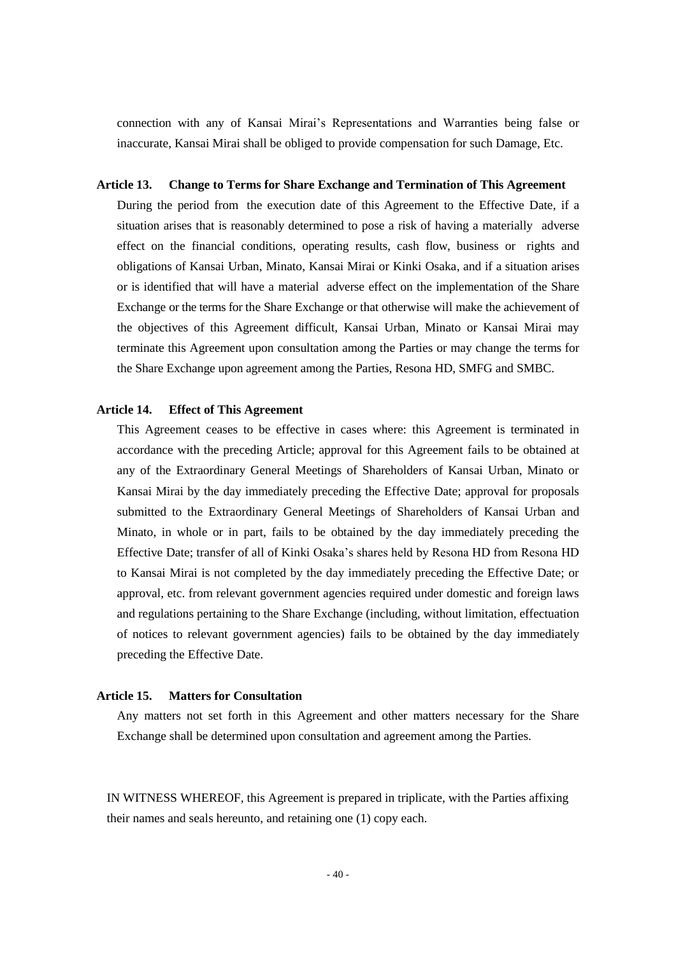connection with any of Kansai Mirai's Representations and Warranties being false or inaccurate, Kansai Mirai shall be obliged to provide compensation for such Damage, Etc.

#### **Article 13. Change to Terms for Share Exchange and Termination of This Agreement**

During the period from the execution date of this Agreement to the Effective Date, if a situation arises that is reasonably determined to pose a risk of having a materially adverse effect on the financial conditions, operating results, cash flow, business or rights and obligations of Kansai Urban, Minato, Kansai Mirai or Kinki Osaka, and if a situation arises or is identified that will have a material adverse effect on the implementation of the Share Exchange or the terms for the Share Exchange or that otherwise will make the achievement of the objectives of this Agreement difficult, Kansai Urban, Minato or Kansai Mirai may terminate this Agreement upon consultation among the Parties or may change the terms for the Share Exchange upon agreement among the Parties, Resona HD, SMFG and SMBC.

#### **Article 14. Effect of This Agreement**

This Agreement ceases to be effective in cases where: this Agreement is terminated in accordance with the preceding Article; approval for this Agreement fails to be obtained at any of the Extraordinary General Meetings of Shareholders of Kansai Urban, Minato or Kansai Mirai by the day immediately preceding the Effective Date; approval for proposals submitted to the Extraordinary General Meetings of Shareholders of Kansai Urban and Minato, in whole or in part, fails to be obtained by the day immediately preceding the Effective Date; transfer of all of Kinki Osaka's shares held by Resona HD from Resona HD to Kansai Mirai is not completed by the day immediately preceding the Effective Date; or approval, etc. from relevant government agencies required under domestic and foreign laws and regulations pertaining to the Share Exchange (including, without limitation, effectuation of notices to relevant government agencies) fails to be obtained by the day immediately preceding the Effective Date.

#### **Article 15. Matters for Consultation**

Any matters not set forth in this Agreement and other matters necessary for the Share Exchange shall be determined upon consultation and agreement among the Parties.

IN WITNESS WHEREOF, this Agreement is prepared in triplicate, with the Parties affixing their names and seals hereunto, and retaining one (1) copy each.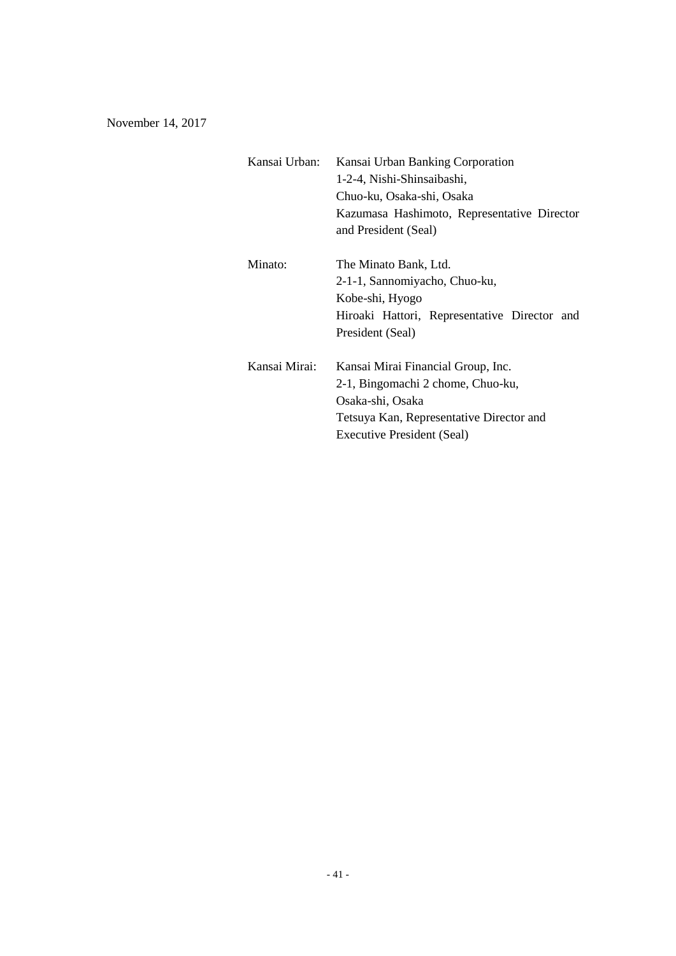November 14, 2017

| Kansai Urban: | Kansai Urban Banking Corporation             |  |  |
|---------------|----------------------------------------------|--|--|
|               | 1-2-4, Nishi-Shinsaibashi,                   |  |  |
|               | Chuo-ku, Osaka-shi, Osaka                    |  |  |
|               | Kazumasa Hashimoto, Representative Director  |  |  |
|               | and President (Seal)                         |  |  |
| Minato:       | The Minato Bank, Ltd.                        |  |  |
|               | 2-1-1, Sannomiyacho, Chuo-ku,                |  |  |
|               | Kobe-shi, Hyogo                              |  |  |
|               | Hiroaki Hattori, Representative Director and |  |  |
|               | President (Seal)                             |  |  |
|               |                                              |  |  |
| Kansai Mirai: | Kansai Mirai Financial Group, Inc.           |  |  |
|               | 2-1, Bingomachi 2 chome, Chuo-ku,            |  |  |
|               | Osaka-shi, Osaka                             |  |  |
|               | Tetsuya Kan, Representative Director and     |  |  |
|               | <b>Executive President (Seal)</b>            |  |  |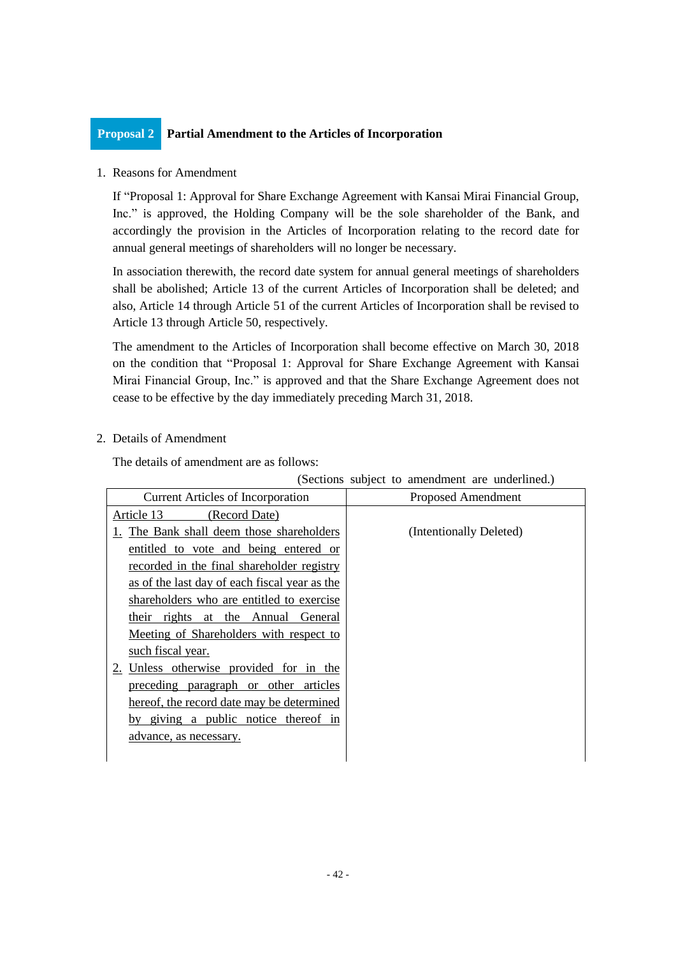# **Proposal 2 Partial Amendment to the Articles of Incorporation**

## 1. Reasons for Amendment

If "Proposal 1: Approval for Share Exchange Agreement with Kansai Mirai Financial Group, Inc." is approved, the Holding Company will be the sole shareholder of the Bank, and accordingly the provision in the Articles of Incorporation relating to the record date for annual general meetings of shareholders will no longer be necessary.

In association therewith, the record date system for annual general meetings of shareholders shall be abolished; Article 13 of the current Articles of Incorporation shall be deleted; and also, Article 14 through Article 51 of the current Articles of Incorporation shall be revised to Article 13 through Article 50, respectively.

The amendment to the Articles of Incorporation shall become effective on March 30, 2018 on the condition that "Proposal 1: Approval for Share Exchange Agreement with Kansai Mirai Financial Group, Inc." is approved and that the Share Exchange Agreement does not cease to be effective by the day immediately preceding March 31, 2018.

# 2. Details of Amendment

The details of amendment are as follows:

| <b>Current Articles of Incorporation</b>      | Proposed Amendment      |  |
|-----------------------------------------------|-------------------------|--|
| Article 13 (Record Date)                      |                         |  |
| 1. The Bank shall deem those shareholders     | (Intentionally Deleted) |  |
| entitled to vote and being entered or         |                         |  |
| recorded in the final shareholder registry    |                         |  |
| as of the last day of each fiscal year as the |                         |  |
| shareholders who are entitled to exercise     |                         |  |
| their rights at the Annual General            |                         |  |
| Meeting of Shareholders with respect to       |                         |  |
| such fiscal year.                             |                         |  |
| 2. Unless otherwise provided for in the       |                         |  |
| preceding paragraph or other articles         |                         |  |
| hereof, the record date may be determined     |                         |  |
| by giving a public notice thereof in          |                         |  |
| advance, as necessary.                        |                         |  |
|                                               |                         |  |

(Sections subject to amendment are underlined.)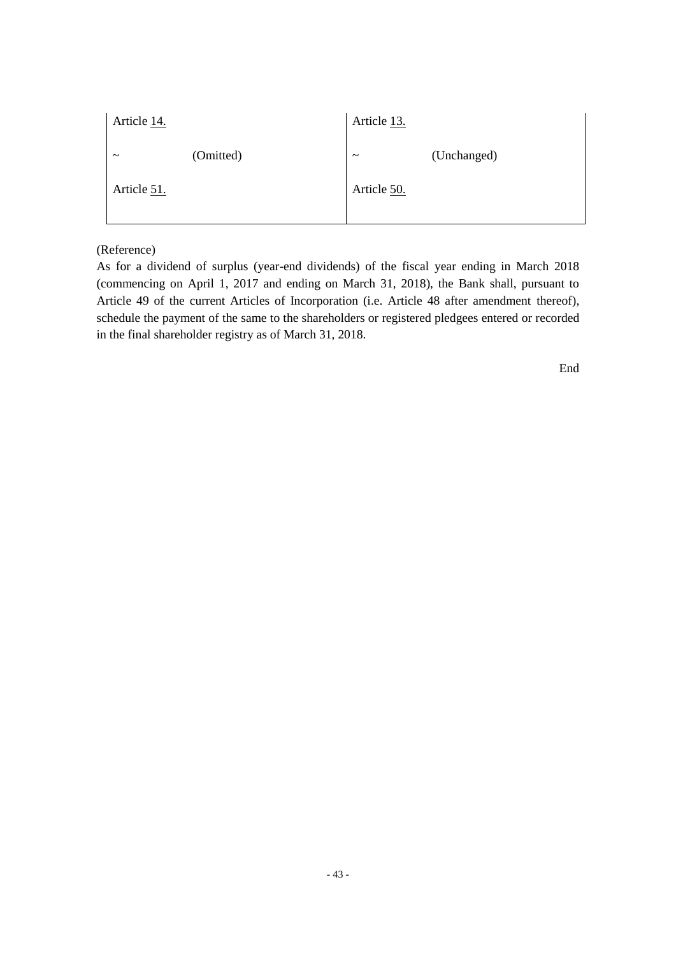| Article 14.           |           | Article 13.           |             |
|-----------------------|-----------|-----------------------|-------------|
| $\tilde{\phantom{a}}$ | (Omitted) | $\tilde{\phantom{a}}$ | (Unchanged) |
| Article 51.           |           | Article 50.           |             |
|                       |           |                       |             |

## (Reference)

As for a dividend of surplus (year-end dividends) of the fiscal year ending in March 2018 (commencing on April 1, 2017 and ending on March 31, 2018), the Bank shall, pursuant to Article 49 of the current Articles of Incorporation (i.e. Article 48 after amendment thereof), schedule the payment of the same to the shareholders or registered pledgees entered or recorded in the final shareholder registry as of March 31, 2018.

End